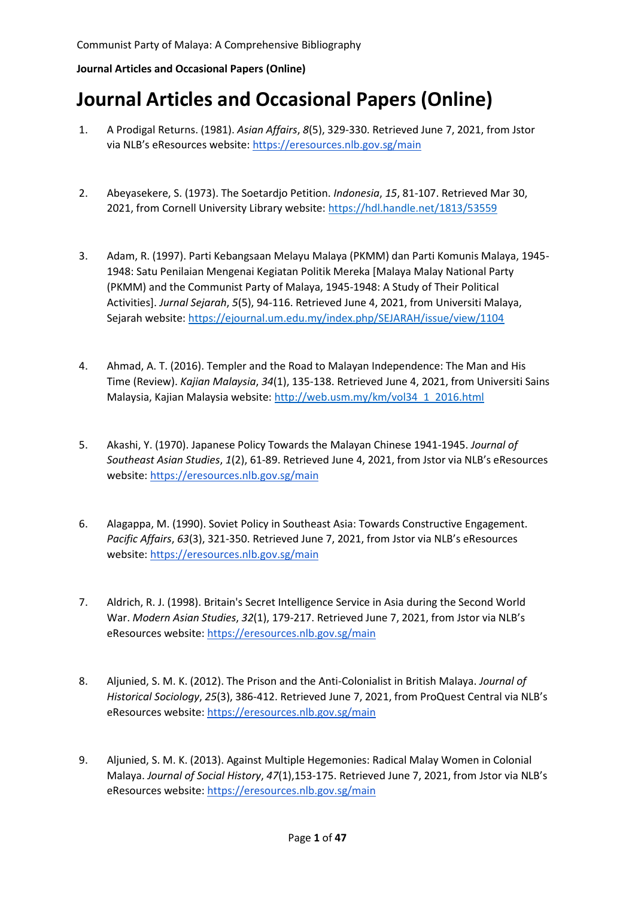- 1. A Prodigal Returns. (1981). *Asian Affairs*, *8*(5), 329-330. Retrieved June 7, 2021, from Jstor via NLB's eResources website:<https://eresources.nlb.gov.sg/main>
- 2. Abeyasekere, S. (1973). The Soetardjo Petition. *Indonesia*, *15*, 81-107. Retrieved Mar 30, 2021, from Cornell University Library website: <https://hdl.handle.net/1813/53559>
- 3. Adam, R. (1997). Parti Kebangsaan Melayu Malaya (PKMM) dan Parti Komunis Malaya, 1945- 1948: Satu Penilaian Mengenai Kegiatan Politik Mereka [Malaya Malay National Party (PKMM) and the Communist Party of Malaya, 1945-1948: A Study of Their Political Activities]. *Jurnal Sejarah*, *5*(5), 94-116. Retrieved June 4, 2021, from Universiti Malaya, Sejarah website: <https://ejournal.um.edu.my/index.php/SEJARAH/issue/view/1104>
- 4. Ahmad, A. T. (2016). Templer and the Road to Malayan Independence: The Man and His Time (Review). *Kajian Malaysia*, *34*(1), 135-138. Retrieved June 4, 2021, from Universiti Sains Malaysia, Kajian Malaysia website: [http://web.usm.my/km/vol34\\_1\\_2016.html](http://web.usm.my/km/vol34_1_2016.html)
- 5. Akashi, Y. (1970). Japanese Policy Towards the Malayan Chinese 1941-1945. *Journal of Southeast Asian Studies*, *1*(2), 61-89. Retrieved June 4, 2021, from Jstor via NLB's eResources website:<https://eresources.nlb.gov.sg/main>
- 6. Alagappa, M. (1990). Soviet Policy in Southeast Asia: Towards Constructive Engagement. *Pacific Affairs*, *63*(3), 321-350. Retrieved June 7, 2021, from Jstor via NLB's eResources website:<https://eresources.nlb.gov.sg/main>
- 7. Aldrich, R. J. (1998). Britain's Secret Intelligence Service in Asia during the Second World War. *Modern Asian Studies*, *32*(1), 179-217. Retrieved June 7, 2021, from Jstor via NLB's eResources website:<https://eresources.nlb.gov.sg/main>
- 8. Aljunied, S. M. K. (2012). The Prison and the Anti-Colonialist in British Malaya. *Journal of Historical Sociology*, *25*(3), 386-412. Retrieved June 7, 2021, from ProQuest Central via NLB's eResources website:<https://eresources.nlb.gov.sg/main>
- 9. Aljunied, S. M. K. (2013). Against Multiple Hegemonies: Radical Malay Women in Colonial Malaya. *Journal of Social History*, *47*(1),153-175. Retrieved June 7, 2021, from Jstor via NLB's eResources website:<https://eresources.nlb.gov.sg/main>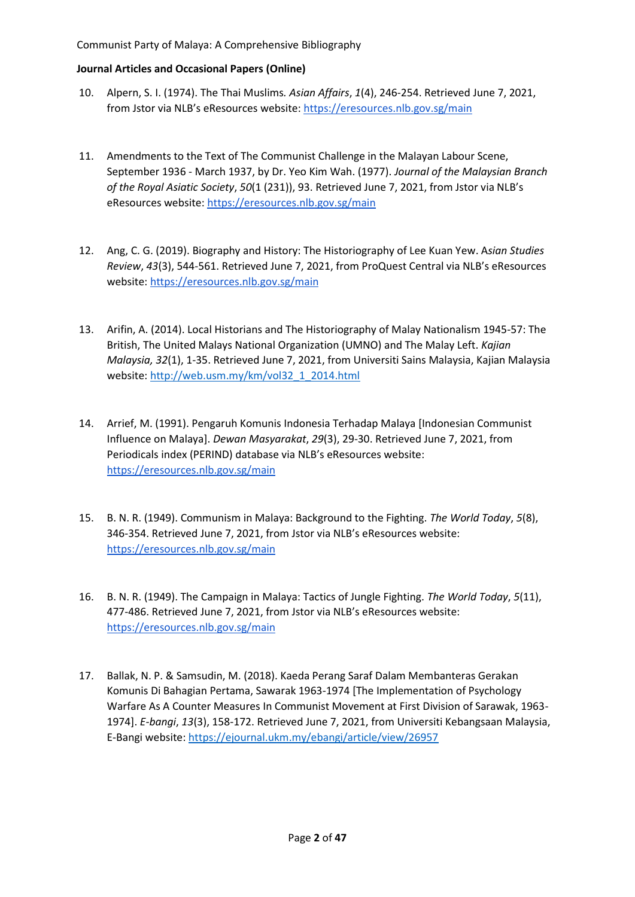- 10. Alpern, S. I. (1974). The Thai Muslims*. Asian Affairs*, *1*(4), 246-254. Retrieved June 7, 2021, from Jstor via NLB's eResources website[: https://eresources.nlb.gov.sg/main](https://eresources.nlb.gov.sg/main)
- 11. Amendments to the Text of The Communist Challenge in the Malayan Labour Scene, September 1936 - March 1937, by Dr. Yeo Kim Wah. (1977). *Journal of the Malaysian Branch of the Royal Asiatic Society*, *50*(1 (231)), 93. Retrieved June 7, 2021, from Jstor via NLB's eResources website:<https://eresources.nlb.gov.sg/main>
- 12. [Ang, C. G. \(2019\). Biography and History: The Historiography of Lee Kuan Yew. A](https://doi.org/10/1080/10357823.2019.1625864)*sian Studies Review*, *43*[\(3\), 544-561.](https://doi.org/10/1080/10357823.2019.1625864) Retrieved June 7, 2021, from ProQuest Central via NLB's eResources website:<https://eresources.nlb.gov.sg/main>
- 13. Arifin, A. (2014). Local Historians and The Historiography of Malay Nationalism 1945-57: The British, The United Malays National Organization (UMNO) and The Malay Left. *Kajian Malaysia, 32*(1), 1-35. Retrieved June 7, 2021, from Universiti Sains Malaysia, Kajian Malaysia website: [http://web.usm.my/km/vol32\\_1\\_2014.html](http://web.usm.my/km/vol32_1_2014.html)
- 14. Arrief, M. (1991). Pengaruh Komunis Indonesia Terhadap Malaya [Indonesian Communist Influence on Malaya]. *Dewan Masyarakat*, *29*(3), 29-30. Retrieved June 7, 2021, from Periodicals index (PERIND) database via NLB's eResources website: <https://eresources.nlb.gov.sg/main>
- 15. B. N. R. (1949). Communism in Malaya: Background to the Fighting. *The World Today*, *5*(8), 346-354. Retrieved June 7, 2021, from Jstor via NLB's eResources website: <https://eresources.nlb.gov.sg/main>
- 16. B. N. R. (1949). The Campaign in Malaya: Tactics of Jungle Fighting. *The World Today*, *5*(11), 477-486. Retrieved June 7, 2021, from Jstor via NLB's eResources website: <https://eresources.nlb.gov.sg/main>
- 17. Ballak, N. P. & Samsudin, M. (2018). Kaeda Perang Saraf Dalam Membanteras Gerakan Komunis Di Bahagian Pertama, Sawarak 1963-1974 [The Implementation of Psychology Warfare As A Counter Measures In Communist Movement at First Division of Sarawak, 1963- 1974]. *E-bangi*, *13*(3), 158-172. Retrieved June 7, 2021, from Universiti Kebangsaan Malaysia, E-Bangi website[: https://ejournal.ukm.my/ebangi/article/view/26957](https://ejournal.ukm.my/ebangi/article/view/26957)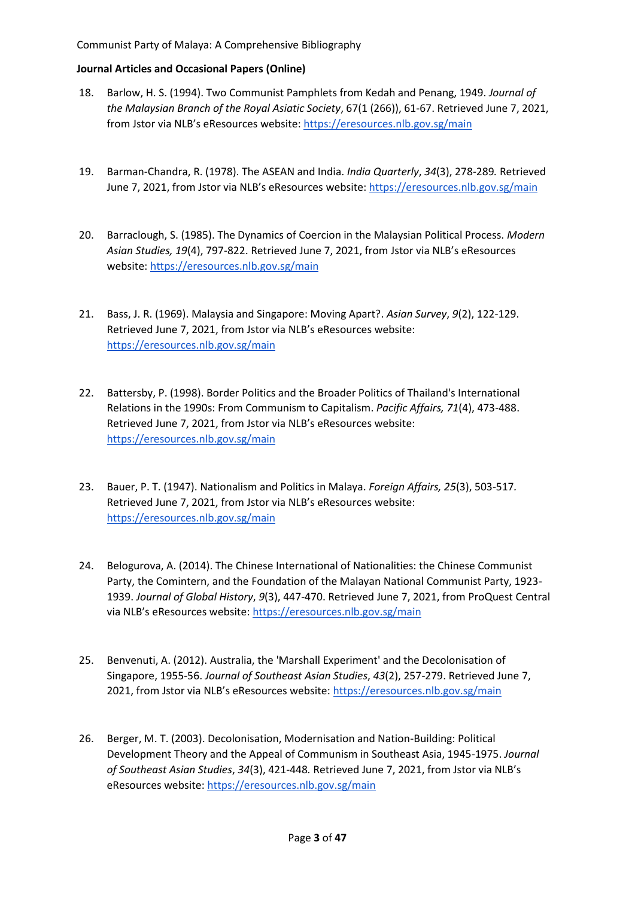- 18. Barlow, H. S. (1994). Two Communist Pamphlets from Kedah and Penang, 1949. *Journal of the Malaysian Branch of the Royal Asiatic Society*, 67(1 (266)), 61-67. Retrieved June 7, 2021, from Jstor via NLB's eResources website[: https://eresources.nlb.gov.sg/main](https://eresources.nlb.gov.sg/main)
- 19. Barman-Chandra, R. (1978). The ASEAN and India. *India Quarterly*, *34*(3), 278-289*.* Retrieved June 7, 2021, from Jstor via NLB's eResources website:<https://eresources.nlb.gov.sg/main>
- 20. Barraclough, S. (1985). The Dynamics of Coercion in the Malaysian Political Process. *Modern Asian Studies, 19*(4), 797-822. Retrieved June 7, 2021, from Jstor via NLB's eResources website:<https://eresources.nlb.gov.sg/main>
- 21. Bass, J. R. (1969). Malaysia and Singapore: Moving Apart?. *Asian Survey*, *9*(2), 122-129. Retrieved June 7, 2021, from Jstor via NLB's eResources website: <https://eresources.nlb.gov.sg/main>
- 22. Battersby, P. (1998). Border Politics and the Broader Politics of Thailand's International Relations in the 1990s: From Communism to Capitalism. *Pacific Affairs, 71*(4), 473-488. Retrieved June 7, 2021, from Jstor via NLB's eResources website: <https://eresources.nlb.gov.sg/main>
- 23. Bauer, P. T. (1947). Nationalism and Politics in Malaya. *Foreign Affairs, 25*(3), 503-517*.* Retrieved June 7, 2021, from Jstor via NLB's eResources website: <https://eresources.nlb.gov.sg/main>
- 24. Belogurova, A. (2014). The Chinese International of Nationalities: the Chinese Communist Party, the Comintern, and the Foundation of the Malayan National Communist Party, 1923- 1939. *Journal of Global History*, *9*(3), 447-470. Retrieved June 7, 2021, from ProQuest Central via NLB's eResources website: <https://eresources.nlb.gov.sg/main>
- 25. Benvenuti, A. (2012). Australia, the 'Marshall Experiment' and the Decolonisation of Singapore, 1955-56. *Journal of Southeast Asian Studies*, *43*(2), 257-279. Retrieved June 7, 2021, from Jstor via NLB's eResources website: <https://eresources.nlb.gov.sg/main>
- 26. Berger, M. T. (2003). Decolonisation, Modernisation and Nation-Building: Political Development Theory and the Appeal of Communism in Southeast Asia, 1945-1975. *Journal of Southeast Asian Studies*, *34*(3), 421-448*.* Retrieved June 7, 2021, from Jstor via NLB's eResources website:<https://eresources.nlb.gov.sg/main>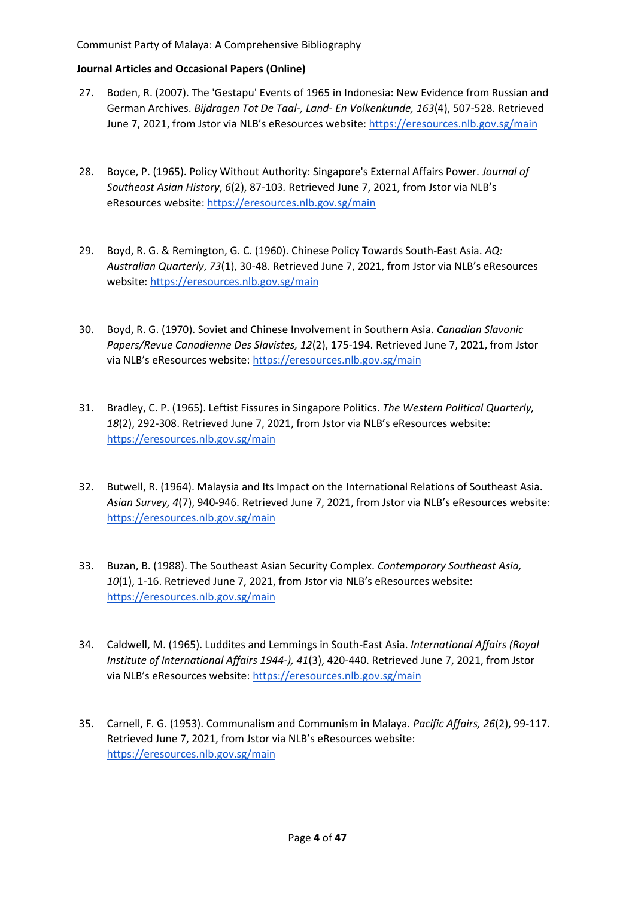- 27. Boden, R. (2007). The 'Gestapu' Events of 1965 in Indonesia: New Evidence from Russian and German Archives. *Bijdragen Tot De Taal-, Land- En Volkenkunde, 163*(4), 507-528. Retrieved June 7, 2021, from Jstor via NLB's eResources website: <https://eresources.nlb.gov.sg/main>
- 28. Boyce, P. (1965). Policy Without Authority: Singapore's External Affairs Power. *Journal of Southeast Asian History*, *6*(2), 87-103*.* Retrieved June 7, 2021, from Jstor via NLB's eResources website:<https://eresources.nlb.gov.sg/main>
- 29. Boyd, R. G. & Remington, G. C. (1960). Chinese Policy Towards South-East Asia. *AQ: Australian Quarterly*, *73*(1), 30-48. Retrieved June 7, 2021, from Jstor via NLB's eResources website: <https://eresources.nlb.gov.sg/main>
- 30. Boyd, R. G. (1970). Soviet and Chinese Involvement in Southern Asia. *Canadian Slavonic Papers/Revue Canadienne Des Slavistes, 12*(2), 175-194. Retrieved June 7, 2021, from Jstor via NLB's eResources website: <https://eresources.nlb.gov.sg/main>
- 31. Bradley, C. P. (1965). Leftist Fissures in Singapore Politics. *The Western Political Quarterly, 18*(2), 292-308. Retrieved June 7, 2021, from Jstor via NLB's eResources website: <https://eresources.nlb.gov.sg/main>
- 32. Butwell, R. (1964). Malaysia and Its Impact on the International Relations of Southeast Asia. *Asian Survey, 4*(7), 940-946. Retrieved June 7, 2021, from Jstor via NLB's eResources website: <https://eresources.nlb.gov.sg/main>
- 33. [Buzan, B. \(1988\). The Southeast Asian Security Complex.](http://www.jstor.org/stable/25797984) *Contemporary Southeast Asia, 10*[\(1\), 1-16. R](http://www.jstor.org/stable/25797984)etrieved June 7, 2021, from Jstor via NLB's eResources website: <https://eresources.nlb.gov.sg/main>
- 34. Caldwell, M. (1965). Luddites and Lemmings in South-East Asia. *International Affairs (Royal Institute of International Affairs 1944-), 41*(3), 420-440. Retrieved June 7, 2021, from Jstor via NLB's eResources website: <https://eresources.nlb.gov.sg/main>
- 35. Carnell, F. G. (1953). Communalism and Communism in Malaya. *Pacific Affairs, 26*(2), 99-117. Retrieved June 7, 2021, from Jstor via NLB's eResources website: <https://eresources.nlb.gov.sg/main>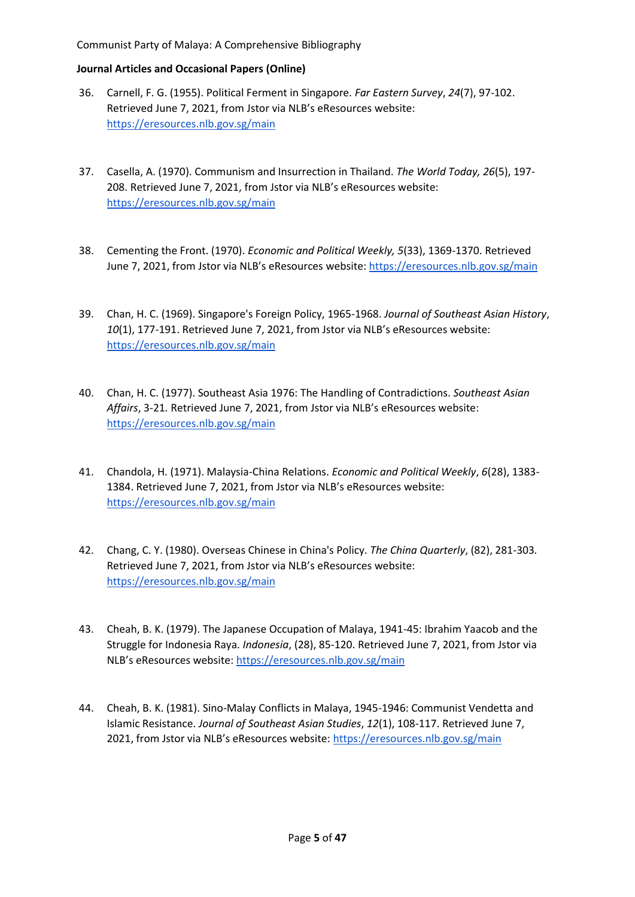- 36. Carnell, F. G. (1955). Political Ferment in Singapore. *Far Eastern Survey*, *24*(7), 97-102. Retrieved June 7, 2021, from Jstor via NLB's eResources website: <https://eresources.nlb.gov.sg/main>
- 37. Casella, A. (1970). Communism and Insurrection in Thailand. *The World Today, 26*(5), 197- 208. Retrieved June 7, 2021, from Jstor via NLB's eResources website: <https://eresources.nlb.gov.sg/main>
- 38. Cementing the Front. (1970). *Economic and Political Weekly, 5*(33), 1369-1370. Retrieved June 7, 2021, from Jstor via NLB's eResources website:<https://eresources.nlb.gov.sg/main>
- 39. Chan, H. C. (1969). Singapore's Foreign Policy, 1965-1968. *Journal of Southeast Asian History*, *10*(1), 177-191. Retrieved June 7, 2021, from Jstor via NLB's eResources website: <https://eresources.nlb.gov.sg/main>
- 40. Chan, H. C. (1977). Southeast Asia 1976: The Handling of Contradictions. *Southeast Asian Affairs*, 3-21*.* Retrieved June 7, 2021, from Jstor via NLB's eResources website: <https://eresources.nlb.gov.sg/main>
- 41. Chandola, H. (1971). Malaysia-China Relations. *Economic and Political Weekly*, *6*(28), 1383- 1384. Retrieved June 7, 2021, from Jstor via NLB's eResources website: <https://eresources.nlb.gov.sg/main>
- 42. Chang, C. Y. (1980). Overseas Chinese in China's Policy. *The China Quarterly*, (82), 281-303*.*  Retrieved June 7, 2021, from Jstor via NLB's eResources website: <https://eresources.nlb.gov.sg/main>
- 43. Cheah, B. K. (1979). The Japanese Occupation of Malaya, 1941-45: Ibrahim Yaacob and the Struggle for Indonesia Raya. *Indonesia*, (28), 85-120. Retrieved June 7, 2021, from Jstor via NLB's eResources website: <https://eresources.nlb.gov.sg/main>
- 44. Cheah, B. K. (1981). Sino-Malay Conflicts in Malaya, 1945-1946: Communist Vendetta and Islamic Resistance. *Journal of Southeast Asian Studies*, *12*(1), 108-117. Retrieved June 7, 2021, from Jstor via NLB's eResources website: <https://eresources.nlb.gov.sg/main>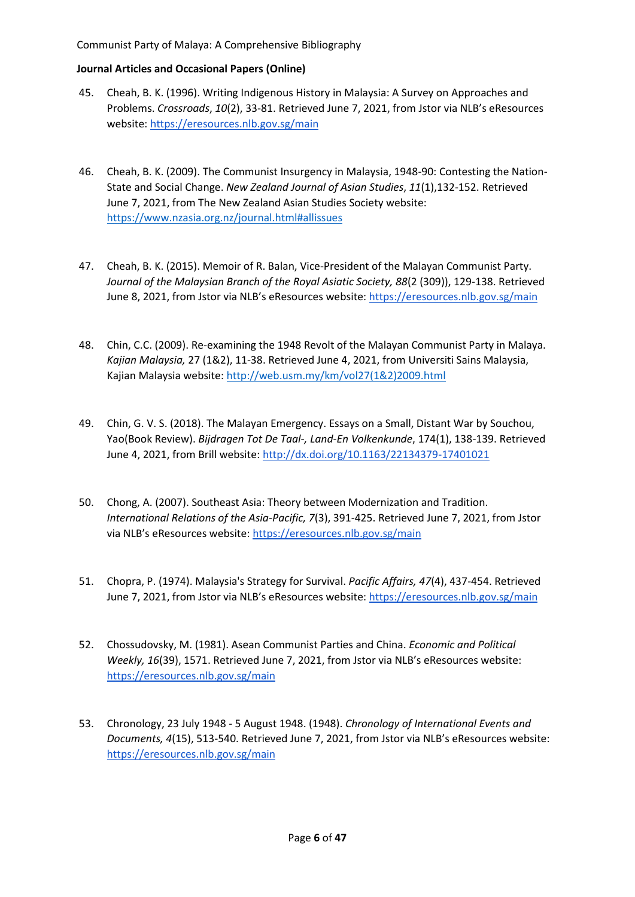- 45. Cheah, B. K. (1996). Writing Indigenous History in Malaysia: A Survey on Approaches and Problems. *Crossroads*, *10*(2), 33-81. Retrieved June 7, 2021, from Jstor via NLB's eResources website:<https://eresources.nlb.gov.sg/main>
- 46. Cheah, B. K. (2009). The Communist Insurgency in Malaysia, 1948-90: Contesting the Nation-State and Social Change. *New Zealand Journal of Asian Studies*, *11*(1),132-152. Retrieved June 7, 2021, from The New Zealand Asian Studies Society website: <https://www.nzasia.org.nz/journal.html#allissues>
- 47. Cheah, B. K. (2015). Memoir of R. Balan, Vice-President of the Malayan Communist Party. *Journal of the Malaysian Branch of the Royal Asiatic Society, 88*(2 (309)), 129-138. Retrieved June 8, 2021, from Jstor via NLB's eResources website: <https://eresources.nlb.gov.sg/main>
- 48. Chin, C.C. (2009). Re-examining the 1948 Revolt of the Malayan Communist Party in Malaya. *Kajian Malaysia,* 27 (1&2), 11-38. Retrieved June 4, 2021, from Universiti Sains Malaysia, Kajian Malaysia website[: http://web.usm.my/km/vol27\(1&2\)2009.html](http://web.usm.my/km/vol27(1&2)2009.html)
- 49. Chin, G. V. S. (2018). The Malayan Emergency. Essays on a Small, Distant War by Souchou, Yao(Book Review). *Bijdragen Tot De Taal-, Land-En Volkenkunde*, 174(1), 138-139. Retrieved June 4, 2021, from Brill website:<http://dx.doi.org/10.1163/22134379-17401021>
- 50. Chong, A. (2007). Southeast Asia: Theory between Modernization and Tradition. *International Relations of the Asia-Pacific, 7*(3), 391-425. Retrieved June 7, 2021, from Jstor via NLB's eResources website: <https://eresources.nlb.gov.sg/main>
- 51. Chopra, P. (1974). Malaysia's Strategy for Survival. *Pacific Affairs, 47*(4), 437-454. Retrieved June 7, 2021, from Jstor via NLB's eResources website: <https://eresources.nlb.gov.sg/main>
- 52. Chossudovsky, M. (1981). Asean Communist Parties and China. *Economic and Political Weekly, 16*(39), 1571. Retrieved June 7, 2021, from Jstor via NLB's eResources website: <https://eresources.nlb.gov.sg/main>
- 53. Chronology, 23 July 1948 5 August 1948. (1948). *Chronology of International Events and Documents, 4*(15), 513-540. Retrieved June 7, 2021, from Jstor via NLB's eResources website: <https://eresources.nlb.gov.sg/main>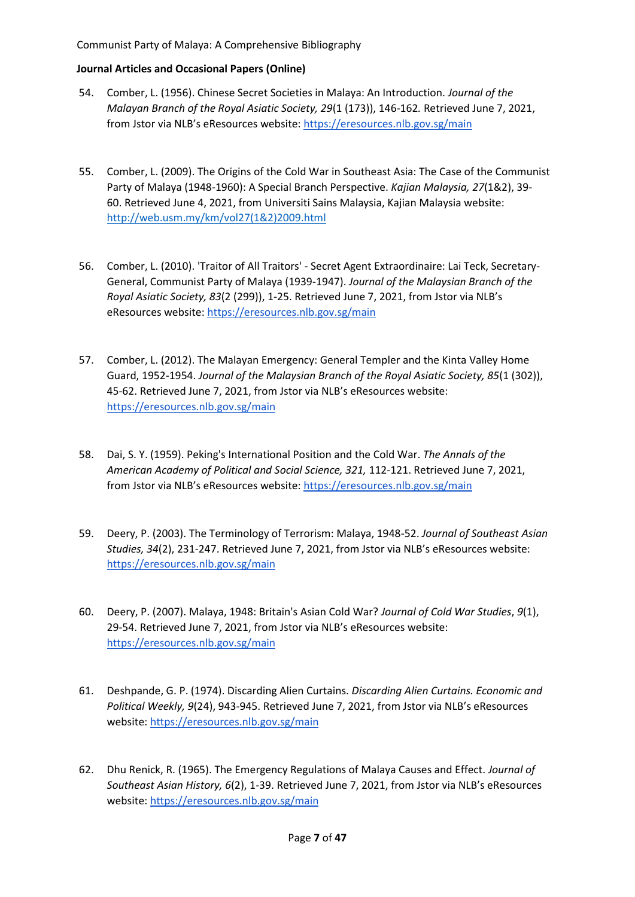- 54. Comber, L. (1956). Chinese Secret Societies in Malaya: An Introduction. *Journal of the Malayan Branch of the Royal Asiatic Society, 29*(1 (173)), 146-162*.* Retrieved June 7, 2021, from Jstor via NLB's eResources website: <https://eresources.nlb.gov.sg/main>
- 55. Comber, L. (2009). The Origins of the Cold War in Southeast Asia: The Case of the Communist Party of Malaya (1948-1960): A Special Branch Perspective. *Kajian Malaysia, 27*(1&2), 39- 60. Retrieved June 4, 2021, from Universiti Sains Malaysia, Kajian Malaysia website: [http://web.usm.my/km/vol27\(1&2\)2009.html](http://web.usm.my/km/vol27(1&2)2009.html)
- 56. Comber, L. (2010). 'Traitor of All Traitors' Secret Agent Extraordinaire: Lai Teck, Secretary-General, Communist Party of Malaya (1939-1947). *Journal of the Malaysian Branch of the Royal Asiatic Society, 83*(2 (299)), 1-25. Retrieved June 7, 2021, from Jstor via NLB's eResources website:<https://eresources.nlb.gov.sg/main>
- 57. Comber, L. (2012). The Malayan Emergency: General Templer and the Kinta Valley Home Guard, 1952-1954. *Journal of the Malaysian Branch of the Royal Asiatic Society, 85*(1 (302)), 45-62. Retrieved June 7, 2021, from Jstor via NLB's eResources website: <https://eresources.nlb.gov.sg/main>
- 58. Dai, S. Y. (1959). Peking's International Position and the Cold War. *The Annals of the American Academy of Political and Social Science, 321,* 112-121. Retrieved June 7, 2021, from Jstor via NLB's eResources website: <https://eresources.nlb.gov.sg/main>
- 59. Deery, P. (2003). The Terminology of Terrorism: Malaya, 1948-52. *Journal of Southeast Asian Studies, 34*(2), 231-247. Retrieved June 7, 2021, from Jstor via NLB's eResources website: <https://eresources.nlb.gov.sg/main>
- 60. Deery, P. (2007). Malaya, 1948: Britain's Asian Cold War? *Journal of Cold War Studies*, *9*(1), 29-54. Retrieved June 7, 2021, from Jstor via NLB's eResources website: <https://eresources.nlb.gov.sg/main>
- 61. Deshpande, G. P. (1974). Discarding Alien Curtains. *Discarding Alien Curtains. Economic and Political Weekly, 9*(24), 943-945. Retrieved June 7, 2021, from Jstor via NLB's eResources website:<https://eresources.nlb.gov.sg/main>
- 62. Dhu Renick, R. (1965). The Emergency Regulations of Malaya Causes and Effect. *Journal of Southeast Asian History, 6*(2), 1-39. Retrieved June 7, 2021, from Jstor via NLB's eResources website:<https://eresources.nlb.gov.sg/main>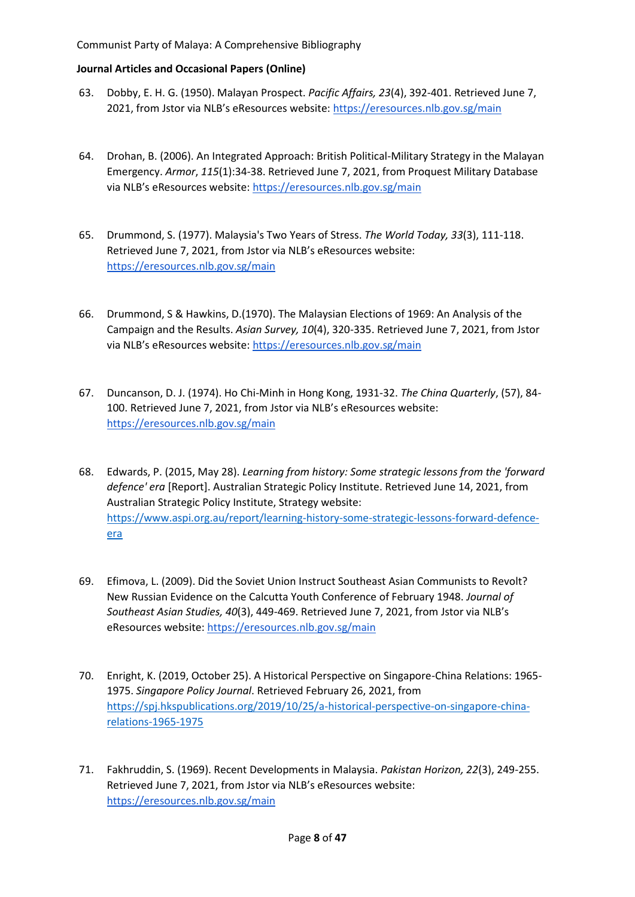- 63. Dobby, E. H. G. (1950). Malayan Prospect. *Pacific Affairs, 23*(4), 392-401. Retrieved June 7, 2021, from Jstor via NLB's eResources website: <https://eresources.nlb.gov.sg/main>
- 64. Drohan, B. (2006). An Integrated Approach: British Political-Military Strategy in the Malayan Emergency. *Armor*, *115*(1):34-38. Retrieved June 7, 2021, from Proquest Military Database via NLB's eResources website: <https://eresources.nlb.gov.sg/main>
- 65. Drummond, S. (1977). Malaysia's Two Years of Stress. *The World Today, 33*(3), 111-118. Retrieved June 7, 2021, from Jstor via NLB's eResources website: <https://eresources.nlb.gov.sg/main>
- 66. Drummond, S & Hawkins, D.(1970). The Malaysian Elections of 1969: An Analysis of the Campaign and the Results. *Asian Survey, 10*(4), 320-335. Retrieved June 7, 2021, from Jstor via NLB's eResources website: <https://eresources.nlb.gov.sg/main>
- 67. Duncanson, D. J. (1974). Ho Chi-Minh in Hong Kong, 1931-32. *The China Quarterly*, (57), 84- 100. Retrieved June 7, 2021, from Jstor via NLB's eResources website: <https://eresources.nlb.gov.sg/main>
- 68. Edwards, P. (2015, May 28). *Learning from history: Some strategic lessons from the 'forward defence' era* [Report]. Australian Strategic Policy Institute. Retrieved June 14, 2021, from Australian Strategic Policy Institute, Strategy website: [https://www.aspi.org.au/report/learning-history-some-strategic-lessons-forward-defence](https://www.aspi.org.au/report/learning-history-some-strategic-lessons-forward-defence-era)[era](https://www.aspi.org.au/report/learning-history-some-strategic-lessons-forward-defence-era)
- 69. Efimova, L. (2009). Did the Soviet Union Instruct Southeast Asian Communists to Revolt? New Russian Evidence on the Calcutta Youth Conference of February 1948. *Journal of Southeast Asian Studies, 40*(3), 449-469. Retrieved June 7, 2021, from Jstor via NLB's eResources website:<https://eresources.nlb.gov.sg/main>
- 70. Enright, K. (2019, October 25). A Historical Perspective on Singapore-China Relations: 1965- 1975. *Singapore Policy Journal*. Retrieved February 26, 2021, from [https://spj.hkspublications.org/2019/10/25/a-historical-perspective-on-singapore-china](https://spj.hkspublications.org/2019/10/25/a-historical-perspective-on-singapore-china-relations-1965-1975)[relations-1965-1975](https://spj.hkspublications.org/2019/10/25/a-historical-perspective-on-singapore-china-relations-1965-1975)
- 71. Fakhruddin, S. (1969). Recent Developments in Malaysia. *Pakistan Horizon, 22*(3), 249-255. Retrieved June 7, 2021, from Jstor via NLB's eResources website: <https://eresources.nlb.gov.sg/main>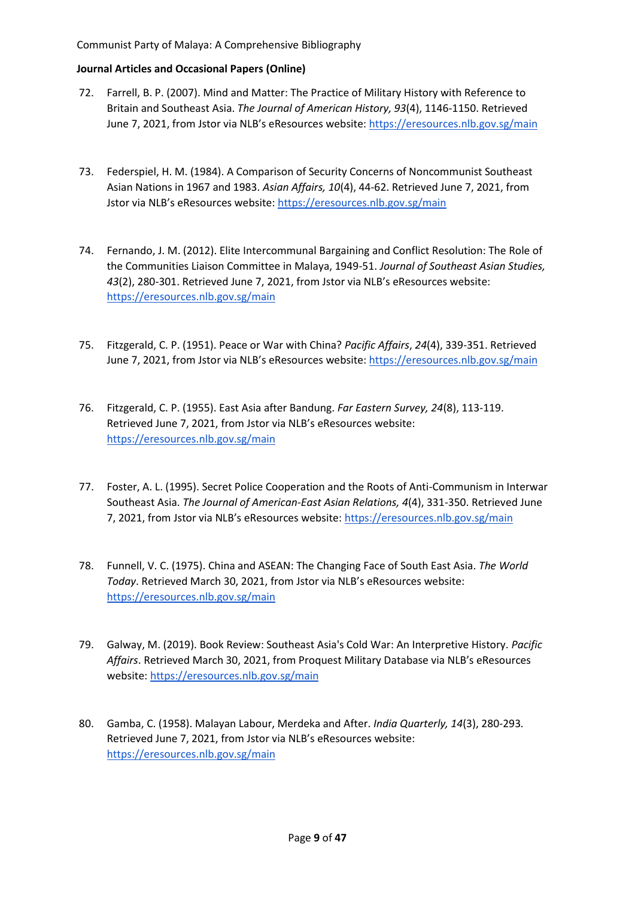- 72. Farrell, B. P. (2007). Mind and Matter: The Practice of Military History with Reference to Britain and Southeast Asia. *The Journal of American History, 93*(4), 1146-1150. Retrieved June 7, 2021, from Jstor via NLB's eResources website: <https://eresources.nlb.gov.sg/main>
- 73. Federspiel, H. M. (1984). A Comparison of Security Concerns of Noncommunist Southeast Asian Nations in 1967 and 1983. *Asian Affairs, 10*(4), 44-62. Retrieved June 7, 2021, from Jstor via NLB's eResources website: <https://eresources.nlb.gov.sg/main>
- 74. Fernando, J. M. (2012). Elite Intercommunal Bargaining and Conflict Resolution: The Role of the Communities Liaison Committee in Malaya, 1949-51. *Journal of Southeast Asian Studies, 43*(2), 280-301. Retrieved June 7, 2021, from Jstor via NLB's eResources website: <https://eresources.nlb.gov.sg/main>
- 75. Fitzgerald, C. P. (1951). Peace or War with China? *Pacific Affairs*, *24*(4), 339-351. Retrieved June 7, 2021, from Jstor via NLB's eResources website: <https://eresources.nlb.gov.sg/main>
- 76. Fitzgerald, C. P. (1955). East Asia after Bandung. *Far Eastern Survey, 24*(8), 113-119. Retrieved June 7, 2021, from Jstor via NLB's eResources website: <https://eresources.nlb.gov.sg/main>
- 77. Foster, A. L. (1995). Secret Police Cooperation and the Roots of Anti-Communism in Interwar Southeast Asia. *The Journal of American-East Asian Relations, 4*(4), 331-350. Retrieved June 7, 2021, from Jstor via NLB's eResources website: <https://eresources.nlb.gov.sg/main>
- 78. Funnell, V. C. (1975). China and ASEAN: The Changing Face of South East Asia. *The World Today*. Retrieved March 30, 2021, from Jstor via NLB's eResources website: <https://eresources.nlb.gov.sg/main>
- 79. Galway, M. (2019). Book Review: Southeast Asia's Cold War: An Interpretive History. *Pacific Affairs*. Retrieved March 30, 2021, from Proquest Military Database via NLB's eResources website:<https://eresources.nlb.gov.sg/main>
- 80. Gamba[, C. \(1958\). Malayan Labour, Merdeka and After.](http://www.jstor.org/stable/45068512) *India Quarterly, 14*(3), 280-293*.*  Retrieved June 7, 2021, from Jstor via NLB's eResources website: <https://eresources.nlb.gov.sg/main>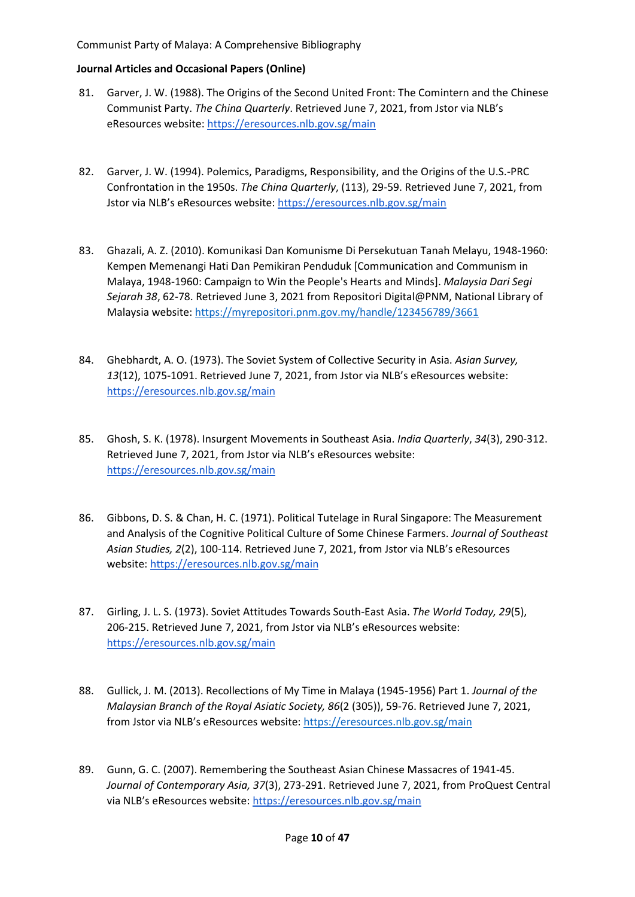- 81. Garver, J. W. (1988). The Origins of the Second United Front: The Comintern and the Chinese Communist Party. *The China Quarterly*. Retrieved June 7, 2021, from Jstor via NLB's eResources website:<https://eresources.nlb.gov.sg/main>
- 82. Garver, J. W. (1994). Polemics, Paradigms, Responsibility, and the Origins of the U.S.-PRC Confrontation in the 1950s. *The China Quarterly*, (113), 29-59. Retrieved June 7, 2021, from Jstor via NLB's eResources website: <https://eresources.nlb.gov.sg/main>
- 83. Ghazali, A. Z. (2010). Komunikasi Dan Komunisme Di Persekutuan Tanah Melayu, 1948-1960: Kempen Memenangi Hati Dan Pemikiran Penduduk [Communication and Communism in Malaya, 1948-1960: Campaign to Win the People's Hearts and Minds]. *Malaysia Dari Segi Sejarah 38*, 62-78. Retrieved June 3, 2021 from Repositori Digital@PNM, National Library of Malaysia website:<https://myrepositori.pnm.gov.my/handle/123456789/3661>
- 84. Ghebhardt, A. O. (1973). The Soviet System of Collective Security in Asia. *Asian Survey, 13*(12), 1075-1091. Retrieved June 7, 2021, from Jstor via NLB's eResources website: <https://eresources.nlb.gov.sg/main>
- 85. Ghosh, S. K. (1978). Insurgent Movements in Southeast Asia. *India Quarterly*, *34*(3), 290-312. Retrieved June 7, 2021, from Jstor via NLB's eResources website: <https://eresources.nlb.gov.sg/main>
- 86. Gibbons, D. S. & Chan, H. C. (1971). Political Tutelage in Rural Singapore: The Measurement and Analysis of the Cognitive Political Culture of Some Chinese Farmers. *Journal of Southeast Asian Studies, 2*(2), 100-114. Retrieved June 7, 2021, from Jstor via NLB's eResources website:<https://eresources.nlb.gov.sg/main>
- 87. Girling, J. L. S. (1973). Soviet Attitudes Towards South-East Asia. *The World Today, 29*(5), 206-215. Retrieved June 7, 2021, from Jstor via NLB's eResources website: <https://eresources.nlb.gov.sg/main>
- 88. Gullick, J. M. (2013). Recollections of My Time in Malaya (1945-1956) Part 1. *Journal of the Malaysian Branch of the Royal Asiatic Society, 86*(2 (305)), 59-76. Retrieved June 7, 2021, from Jstor via NLB's eResources website: <https://eresources.nlb.gov.sg/main>
- 89. Gunn, G. C. (2007). Remembering the Southeast Asian Chinese Massacres of 1941-45. *Journal of Contemporary Asia, 37*(3), 273-291. Retrieved June 7, 2021, from ProQuest Central via NLB's eResources website: <https://eresources.nlb.gov.sg/main>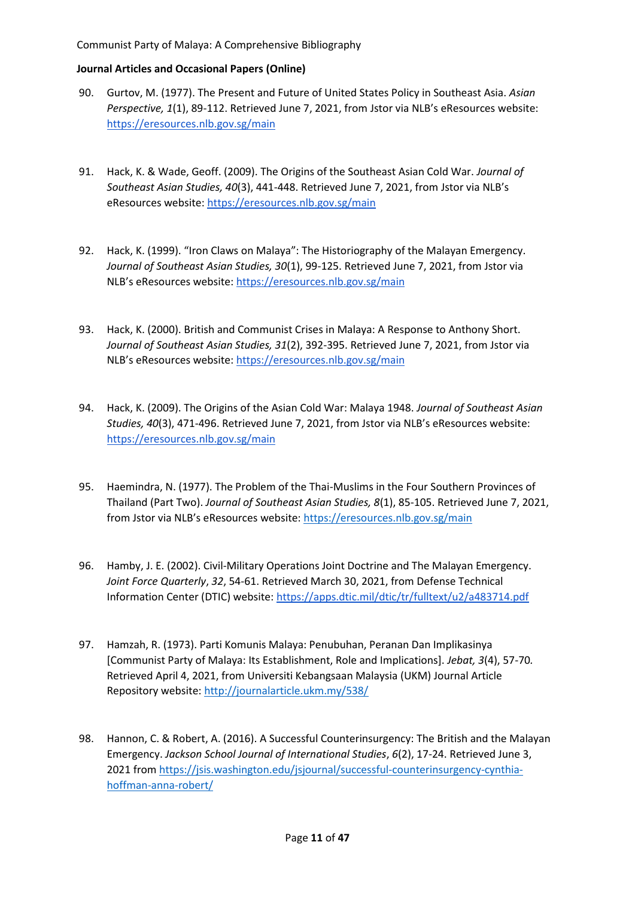- 90. Gurtov, M. (1977). The Present and Future of United States Policy in Southeast Asia. *Asian Perspective, 1*(1), 89-112. Retrieved June 7, 2021, from Jstor via NLB's eResources website: <https://eresources.nlb.gov.sg/main>
- 91. Hack, K. & Wade, Geoff. (2009). The Origins of the Southeast Asian Cold War. *Journal of Southeast Asian Studies, 40*(3), 441-448. Retrieved June 7, 2021, from Jstor via NLB's eResources website:<https://eresources.nlb.gov.sg/main>
- 92. Hack, K. (1999). "Iron Claws on Malaya": The Historiography of the Malayan Emergency. *Journal of Southeast Asian Studies, 30*(1), 99-125. Retrieved June 7, 2021, from Jstor via NLB's eResources website: <https://eresources.nlb.gov.sg/main>
- 93. Hack, K. (2000). British and Communist Crises in Malaya: A Response to Anthony Short. *Journal of Southeast Asian Studies, 31*(2), 392-395. Retrieved June 7, 2021, from Jstor via NLB's eResources website: <https://eresources.nlb.gov.sg/main>
- 94. Hack, K. (2009). The Origins of the Asian Cold War: Malaya 1948. *Journal of Southeast Asian Studies, 40*(3), 471-496. Retrieved June 7, 2021, from Jstor via NLB's eResources website: <https://eresources.nlb.gov.sg/main>
- 95. Haemindra, N. (1977). The Problem of the Thai-Muslims in the Four Southern Provinces of Thailand (Part Two). *Journal of Southeast Asian Studies, 8*(1), 85-105. Retrieved June 7, 2021, from Jstor via NLB's eResources website: <https://eresources.nlb.gov.sg/main>
- 96. Hamby, J. E. (2002). Civil-Military Operations Joint Doctrine and The Malayan Emergency. *Joint Force Quarterly*, *32*, 54-61. Retrieved March 30, 2021, from Defense Technical Information Center (DTIC) website:<https://apps.dtic.mil/dtic/tr/fulltext/u2/a483714.pdf>
- 97. Hamzah, R. (1973). Parti Komunis Malaya: Penubuhan, Peranan Dan Implikasinya [Communist Party of Malaya: Its Establishment, Role and Implications]. *Jebat, 3*(4), 57-70*.* Retrieved April 4, 2021, from Universiti Kebangsaan Malaysia (UKM) Journal Article Repository website[: http://journalarticle.ukm.my/538/](http://journalarticle.ukm.my/538/)
- 98. Hannon, C. & Robert, A. (2016). A Successful Counterinsurgency: The British and the Malayan Emergency. *Jackson School Journal of International Studies*, *6*(2), 17-24. Retrieved June 3, 2021 from [https://jsis.washington.edu/jsjournal/successful-counterinsurgency-cynthia](https://jsis.washington.edu/jsjournal/successful-counterinsurgency-cynthia-hoffman-anna-robert/)[hoffman-anna-robert/](https://jsis.washington.edu/jsjournal/successful-counterinsurgency-cynthia-hoffman-anna-robert/)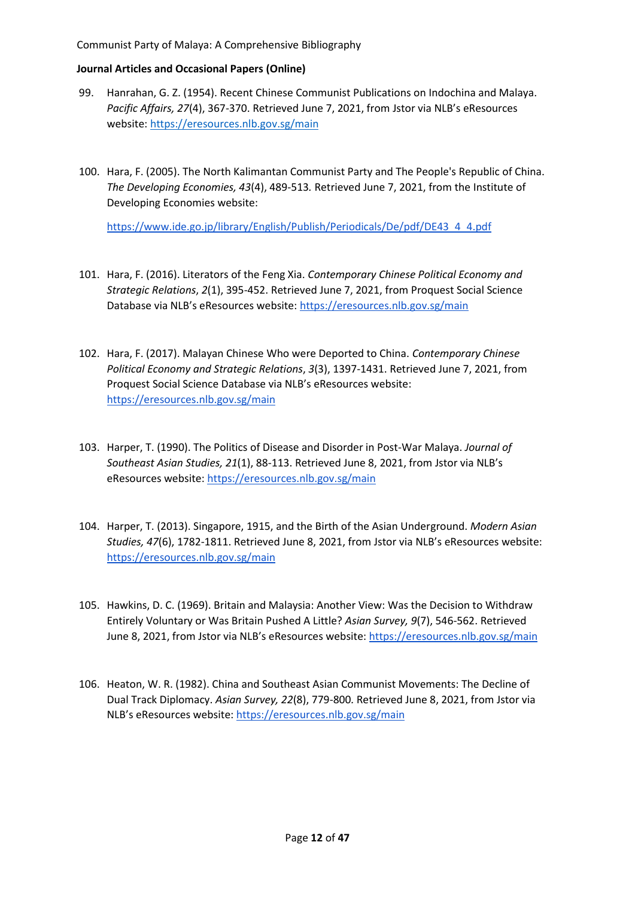## **Journal Articles and Occasional Papers (Online)**

- 99. Hanrahan, G. Z. (1954). Recent Chinese Communist Publications on Indochina and Malaya. *Pacific Affairs, 27*(4), 367-370. Retrieved June 7, 2021, from Jstor via NLB's eResources website:<https://eresources.nlb.gov.sg/main>
- 100. Hara, F. (2005). The North Kalimantan Communist Party and The People's Republic of China. *The Developing Economies, 43*(4), 489-513*.* Retrieved June 7, 2021, from the Institute of Developing Economies website:

[https://www.ide.go.jp/library/English/Publish/Periodicals/De/pdf/DE43\\_4\\_4.pdf](https://www.ide.go.jp/library/English/Publish/Periodicals/De/pdf/DE43_4_4.pdf)

- 101. Hara, F. (2016). Literators of the Feng Xia. *Contemporary Chinese Political Economy and Strategic Relations*, *2*(1), 395-452. Retrieved June 7, 2021, from Proquest Social Science Database via NLB's eResources website: <https://eresources.nlb.gov.sg/main>
- 102. Hara, F. (2017). Malayan Chinese Who were Deported to China. *Contemporary Chinese Political Economy and Strategic Relations*, *3*(3), 1397-1431. Retrieved June 7, 2021, from Proquest Social Science Database via NLB's eResources website: <https://eresources.nlb.gov.sg/main>
- 103. Harper, T. (1990). The Politics of Disease and Disorder in Post-War Malaya. *Journal of Southeast Asian Studies, 21*(1), 88-113. Retrieved June 8, 2021, from Jstor via NLB's eResources website:<https://eresources.nlb.gov.sg/main>
- 104. Harper, T. (2013). Singapore, 1915, and the Birth of the Asian Underground. *Modern Asian Studies, 47*(6), 1782-1811. Retrieved June 8, 2021, from Jstor via NLB's eResources website: <https://eresources.nlb.gov.sg/main>
- 105. Hawkins, D. C. (1969). Britain and Malaysia: Another View: Was the Decision to Withdraw Entirely Voluntary or Was Britain Pushed A Little? *Asian Survey, 9*(7), 546-562. Retrieved June 8, 2021, from Jstor via NLB's eResources website: <https://eresources.nlb.gov.sg/main>
- 106. Heaton, W. R. (1982). China and Southeast Asian Communist Movements: The Decline of Dual Track Diplomacy. *Asian Survey, 22*(8), 779-800*.* Retrieved June 8, 2021, from Jstor via NLB's eResources website[: https://eresources.nlb.gov.sg/main](https://eresources.nlb.gov.sg/main)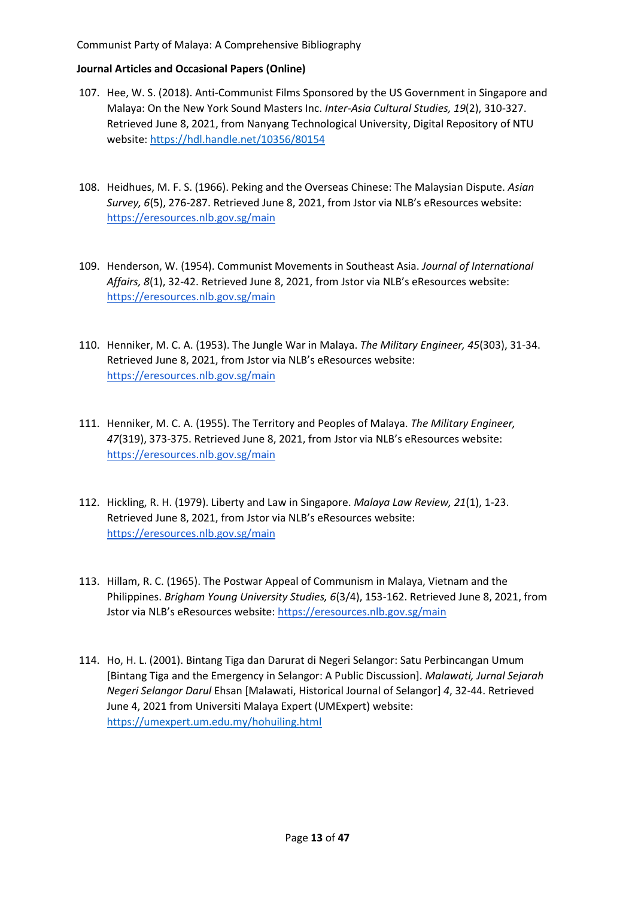- 107. Hee, W. S. (2018). Anti-Communist Films Sponsored by the US Government in Singapore and Malaya: On the New York Sound Masters Inc. *Inter-Asia Cultural Studies, 19*(2), 310-327. Retrieved June 8, 2021, from Nanyang Technological University, Digital Repository of NTU website:<https://hdl.handle.net/10356/80154>
- 108. Heidhues, M. F. S. (1966). Peking and the Overseas Chinese: The Malaysian Dispute. *Asian Survey, 6*(5), 276-287. Retrieved June 8, 2021, from Jstor via NLB's eResources website: <https://eresources.nlb.gov.sg/main>
- 109. Henderson, W. (1954). Communist Movements in Southeast Asia. *Journal of International Affairs, 8*(1), 32-42. Retrieved June 8, 2021, from Jstor via NLB's eResources website: <https://eresources.nlb.gov.sg/main>
- 110. Henniker, M. C. A. (1953). The Jungle War in Malaya. *The Military Engineer, 45*(303), 31-34. Retrieved June 8, 2021, from Jstor via NLB's eResources website: <https://eresources.nlb.gov.sg/main>
- 111. Henniker, M. C. A. (1955). The Territory and Peoples of Malaya. *The Military Engineer, 47*(319), 373-375. Retrieved June 8, 2021, from Jstor via NLB's eResources website: <https://eresources.nlb.gov.sg/main>
- 112. Hickling, R. H. (1979). Liberty and Law in Singapore. *Malaya Law Review, 21*(1), 1-23. Retrieved June 8, 2021, from Jstor via NLB's eResources website: <https://eresources.nlb.gov.sg/main>
- 113. Hillam, R. C. (1965). The Postwar Appeal of Communism in Malaya, Vietnam and the Philippines. *Brigham Young University Studies, 6*(3/4), 153-162. Retrieved June 8, 2021, from Jstor via NLB's eResources website: <https://eresources.nlb.gov.sg/main>
- 114. Ho, H. L. (2001). Bintang Tiga dan Darurat di Negeri Selangor: Satu Perbincangan Umum [Bintang Tiga and the Emergency in Selangor: A Public Discussion]. *Malawati, Jurnal Sejarah Negeri Selangor Darul* Ehsan [Malawati, Historical Journal of Selangor] *4*, 32-44. Retrieved June 4, 2021 from Universiti Malaya Expert (UMExpert) website: <https://umexpert.um.edu.my/hohuiling.html>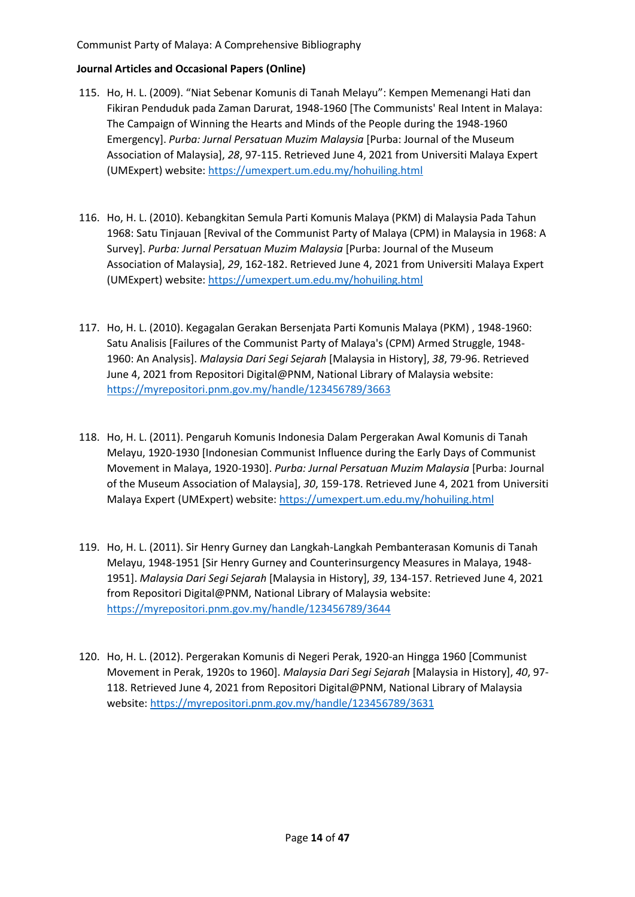- 115. Ho, H. L. (2009). "Niat Sebenar Komunis di Tanah Melayu": Kempen Memenangi Hati dan Fikiran Penduduk pada Zaman Darurat, 1948-1960 [The Communists' Real Intent in Malaya: The Campaign of Winning the Hearts and Minds of the People during the 1948-1960 Emergency]. *Purba: Jurnal Persatuan Muzim Malaysia* [Purba: Journal of the Museum Association of Malaysia], *28*, 97-115. Retrieved June 4, 2021 from Universiti Malaya Expert (UMExpert) website: <https://umexpert.um.edu.my/hohuiling.html>
- 116. Ho, H. L. (2010). Kebangkitan Semula Parti Komunis Malaya (PKM) di Malaysia Pada Tahun 1968: Satu Tinjauan [Revival of the Communist Party of Malaya (CPM) in Malaysia in 1968: A Survey]. *Purba: Jurnal Persatuan Muzim Malaysia* [Purba: Journal of the Museum Association of Malaysia], *29*, 162-182. Retrieved June 4, 2021 from Universiti Malaya Expert (UMExpert) website:<https://umexpert.um.edu.my/hohuiling.html>
- 117. Ho, H. L. (2010). Kegagalan Gerakan Bersenjata Parti Komunis Malaya (PKM) , 1948-1960: Satu Analisis [Failures of the Communist Party of Malaya's (CPM) Armed Struggle, 1948- 1960: An Analysis]. *Malaysia Dari Segi Sejarah* [Malaysia in History], *38*, 79-96. Retrieved June 4, 2021 from Repositori Digital@PNM, National Library of Malaysia website: <https://myrepositori.pnm.gov.my/handle/123456789/3663>
- 118. Ho, H. L. (2011). Pengaruh Komunis Indonesia Dalam Pergerakan Awal Komunis di Tanah Melayu, 1920-1930 [Indonesian Communist Influence during the Early Days of Communist Movement in Malaya, 1920-1930]. *Purba: Jurnal Persatuan Muzim Malaysia* [Purba: Journal of the Museum Association of Malaysia], *30*, 159-178. Retrieved June 4, 2021 from Universiti Malaya Expert (UMExpert) website:<https://umexpert.um.edu.my/hohuiling.html>
- 119. Ho, H. L. (2011). Sir Henry Gurney dan Langkah-Langkah Pembanterasan Komunis di Tanah Melayu, 1948-1951 [Sir Henry Gurney and Counterinsurgency Measures in Malaya, 1948- 1951]. *Malaysia Dari Segi Sejarah* [Malaysia in History], *39*, 134-157. Retrieved June 4, 2021 from Repositori Digital@PNM, National Library of Malaysia website: <https://myrepositori.pnm.gov.my/handle/123456789/3644>
- 120. Ho, H. L. (2012). Pergerakan Komunis di Negeri Perak, 1920-an Hingga 1960 [Communist Movement in Perak, 1920s to 1960]. *Malaysia Dari Segi Sejarah* [Malaysia in History], *40*, 97- 118. Retrieved June 4, 2021 from Repositori Digital@PNM, National Library of Malaysia website:<https://myrepositori.pnm.gov.my/handle/123456789/3631>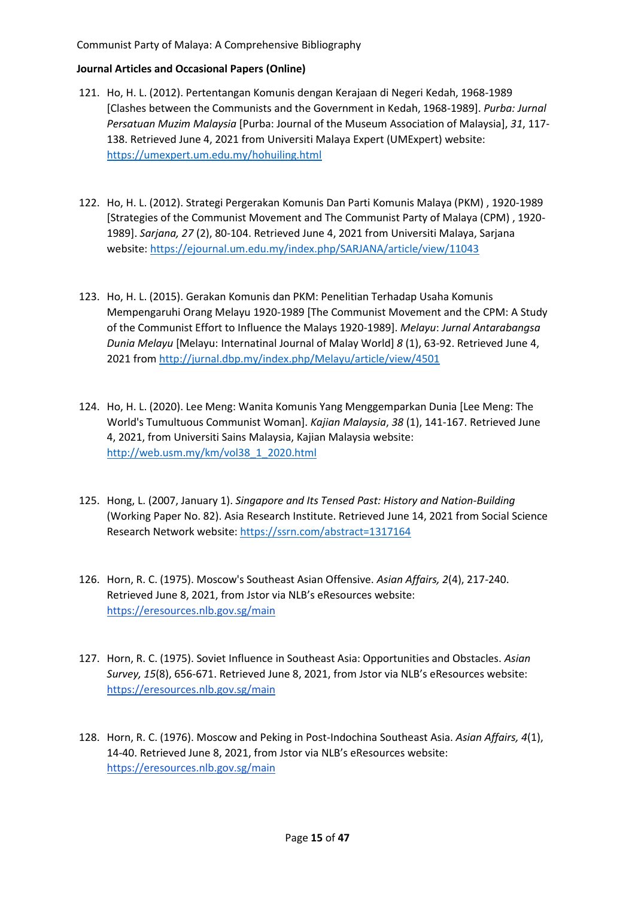- 121. Ho, H. L. (2012). Pertentangan Komunis dengan Kerajaan di Negeri Kedah, 1968-1989 [Clashes between the Communists and the Government in Kedah, 1968-1989]. *Purba: Jurnal Persatuan Muzim Malaysia* [Purba: Journal of the Museum Association of Malaysia], *31*, 117- 138. Retrieved June 4, 2021 from Universiti Malaya Expert (UMExpert) website: <https://umexpert.um.edu.my/hohuiling.html>
- 122. Ho, H. L. (2012). Strategi Pergerakan Komunis Dan Parti Komunis Malaya (PKM) , 1920-1989 [Strategies of the Communist Movement and The Communist Party of Malaya (CPM) , 1920- 1989]. *Sarjana, 27* (2), 80-104. Retrieved June 4, 2021 from Universiti Malaya, Sarjana website:<https://ejournal.um.edu.my/index.php/SARJANA/article/view/11043>
- 123. Ho, H. L. (2015). Gerakan Komunis dan PKM: Penelitian Terhadap Usaha Komunis Mempengaruhi Orang Melayu 1920-1989 [The Communist Movement and the CPM: A Study of the Communist Effort to Influence the Malays 1920-1989]. *Melayu*: *Jurnal Antarabangsa Dunia Melayu* [Melayu: Internatinal Journal of Malay World] *8* (1), 63-92. Retrieved June 4, 2021 from<http://jurnal.dbp.my/index.php/Melayu/article/view/4501>
- 124. Ho, H. L. (2020). Lee Meng: Wanita Komunis Yang Menggemparkan Dunia [Lee Meng: The World's Tumultuous Communist Woman]. *Kajian Malaysia*, *38* (1), 141-167. Retrieved June 4, 2021, from Universiti Sains Malaysia, Kajian Malaysia website: [http://web.usm.my/km/vol38\\_1\\_2020.html](http://web.usm.my/km/vol38_1_2020.html)
- 125. Hong, L. (2007, January 1). *Singapore and Its Tensed Past: History and Nation-Building* (Working Paper No. 82). Asia Research Institute. Retrieved June 14, 2021 from Social Science Research Network website:<https://ssrn.com/abstract=1317164>
- 126. Horn, R. C. (1975). Moscow's Southeast Asian Offensive. *Asian Affairs, 2*(4), 217-240. Retrieved June 8, 2021, from Jstor via NLB's eResources website: <https://eresources.nlb.gov.sg/main>
- 127. Horn, R. C. (1975). Soviet Influence in Southeast Asia: Opportunities and Obstacles. *Asian Survey, 15*(8), 656-671. Retrieved June 8, 2021, from Jstor via NLB's eResources website: <https://eresources.nlb.gov.sg/main>
- 128. Horn, R. C. (1976). Moscow and Peking in Post-Indochina Southeast Asia. *Asian Affairs, 4*(1), 14-40. Retrieved June 8, 2021, from Jstor via NLB's eResources website: <https://eresources.nlb.gov.sg/main>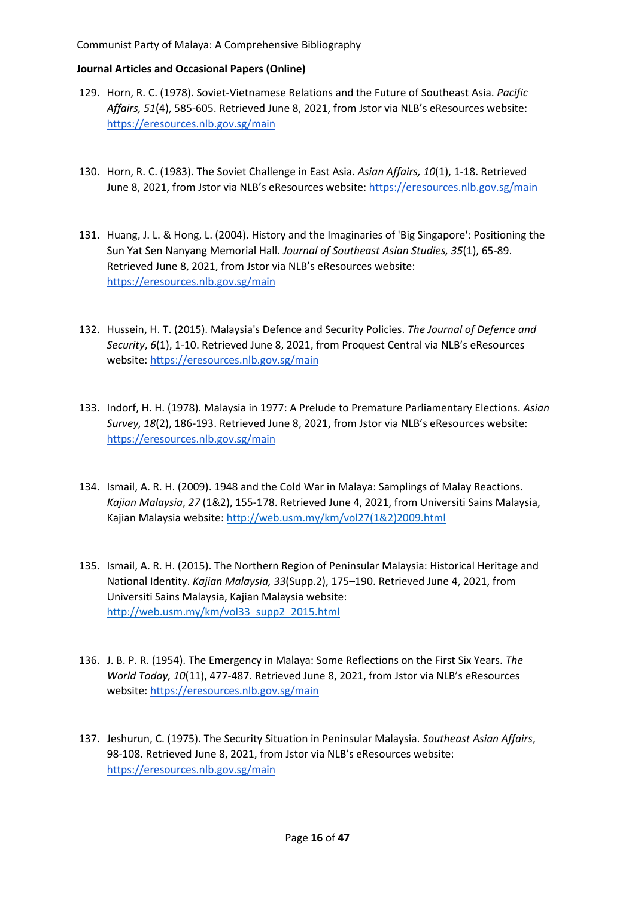- 129. Horn, R. C. (1978). Soviet-Vietnamese Relations and the Future of Southeast Asia. *Pacific Affairs, 51*(4), 585-605. Retrieved June 8, 2021, from Jstor via NLB's eResources website: <https://eresources.nlb.gov.sg/main>
- 130. Horn, R. C. (1983). The Soviet Challenge in East Asia. *Asian Affairs, 10*(1), 1-18. Retrieved June 8, 2021, from Jstor via NLB's eResources website: <https://eresources.nlb.gov.sg/main>
- 131. Huang, J. L. & Hong, L. (2004). History and the Imaginaries of 'Big Singapore': Positioning the Sun Yat Sen Nanyang Memorial Hall. *Journal of Southeast Asian Studies, 35*(1), 65-89. Retrieved June 8, 2021, from Jstor via NLB's eResources website: <https://eresources.nlb.gov.sg/main>
- 132. Hussein, H. T. (2015). Malaysia's Defence and Security Policies. *The Journal of Defence and Security*, *6*(1), 1-10. Retrieved June 8, 2021, from Proquest Central via NLB's eResources website:<https://eresources.nlb.gov.sg/main>
- 133. Indorf, H. H. (1978). Malaysia in 1977: A Prelude to Premature Parliamentary Elections. *Asian Survey, 18*(2), 186-193. Retrieved June 8, 2021, from Jstor via NLB's eResources website: <https://eresources.nlb.gov.sg/main>
- 134. Ismail, A. R. H. (2009). 1948 and the Cold War in Malaya: Samplings of Malay Reactions. *Kajian Malaysia*, *27* (1&2), 155-178. Retrieved June 4, 2021, from Universiti Sains Malaysia, Kajian Malaysia website: [http://web.usm.my/km/vol27\(1&2\)2009.html](http://web.usm.my/km/vol27(1&2)2009.html)
- 135. Ismail, A. R. H. (2015). The Northern Region of Peninsular Malaysia: Historical Heritage and National Identity. *Kajian Malaysia, 33*(Supp.2), 175–190. Retrieved June 4, 2021, from Universiti Sains Malaysia, Kajian Malaysia website: [http://web.usm.my/km/vol33\\_supp2\\_2015.html](http://web.usm.my/km/vol33_supp2_2015.html)
- 136. J. B. P. R. (1954). The Emergency in Malaya: Some Reflections on the First Six Years. *The World Today, 10*(11), 477-487. Retrieved June 8, 2021, from Jstor via NLB's eResources website:<https://eresources.nlb.gov.sg/main>
- 137. Jeshurun, C. (1975). The Security Situation in Peninsular Malaysia. *Southeast Asian Affairs*, 98-108. Retrieved June 8, 2021, from Jstor via NLB's eResources website: <https://eresources.nlb.gov.sg/main>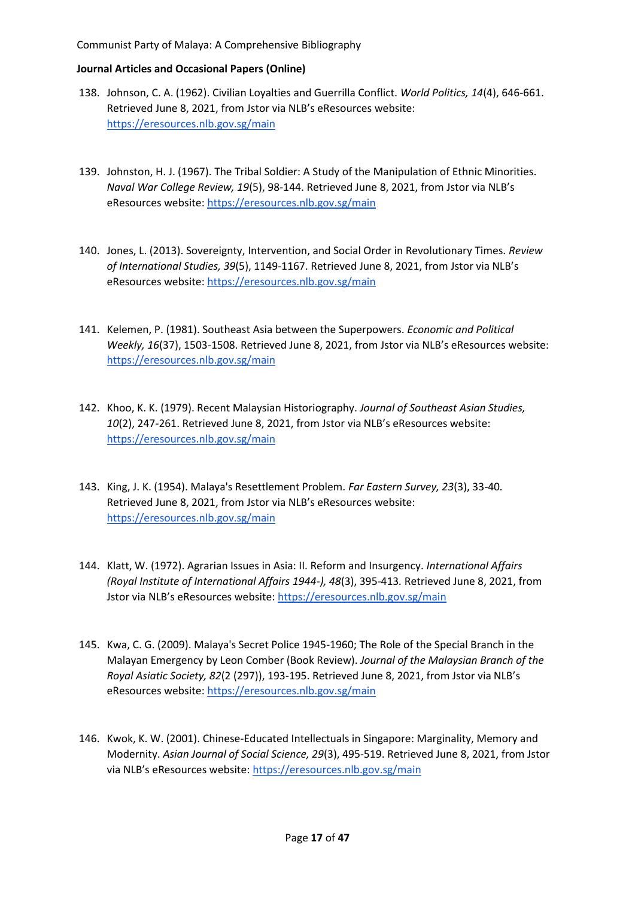- 138. Johnson, C. A. (1962). Civilian Loyalties and Guerrilla Conflict. *World Politics, 14*(4), 646-661. Retrieved June 8, 2021, from Jstor via NLB's eResources website: <https://eresources.nlb.gov.sg/main>
- 139. Johnston, H. J. (1967). The Tribal Soldier: A Study of the Manipulation of Ethnic Minorities. *Naval War College Review, 19*(5), 98-144. Retrieved June 8, 2021, from Jstor via NLB's eResources website:<https://eresources.nlb.gov.sg/main>
- 140. Jones, L. (2013). Sovereignty, Intervention, and Social Order in Revolutionary Times. *Review of International Studies, 39*(5), 1149-1167. Retrieved June 8, 2021, from Jstor via NLB's eResources website:<https://eresources.nlb.gov.sg/main>
- 141. Kelemen, P. (1981). Southeast Asia between the Superpowers. *Economic and Political Weekly, 16*(37), 1503-1508. Retrieved June 8, 2021, from Jstor via NLB's eResources website: <https://eresources.nlb.gov.sg/main>
- 142. Khoo, K. K. (1979). Recent Malaysian Historiography. *Journal of Southeast Asian Studies, 10*(2), 247-261. Retrieved June 8, 2021, from Jstor via NLB's eResources website: <https://eresources.nlb.gov.sg/main>
- 143. King, J. K. (1954). Malaya's Resettlement Problem. *Far Eastern Survey, 23*(3), 33-40*.*  Retrieved June 8, 2021, from Jstor via NLB's eResources website: <https://eresources.nlb.gov.sg/main>
- 144. Klatt, W. (1972). Agrarian Issues in Asia: II. Reform and Insurgency. *International Affairs (Royal Institute of International Affairs 1944-), 48*(3), 395-413*.* Retrieved June 8, 2021, from Jstor via NLB's eResources website: <https://eresources.nlb.gov.sg/main>
- 145. Kwa, C. G. (2009). Malaya's Secret Police 1945-1960; The Role of the Special Branch in the Malayan Emergency by Leon Comber (Book Review). *Journal of the Malaysian Branch of the Royal Asiatic Society, 82*(2 (297)), 193-195. Retrieved June 8, 2021, from Jstor via NLB's eResources website:<https://eresources.nlb.gov.sg/main>
- 146. Kwok, K. W. (2001). Chinese-Educated Intellectuals in Singapore: Marginality, Memory and Modernity. *Asian Journal of Social Science, 29*(3), 495-519. Retrieved June 8, 2021, from Jstor via NLB's eResources website: <https://eresources.nlb.gov.sg/main>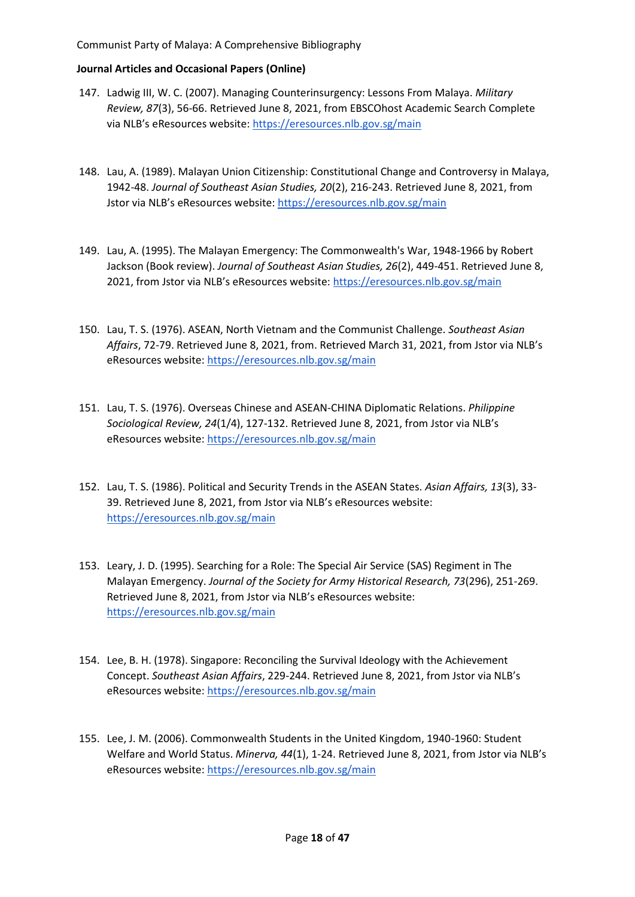- 147. Ladwig III, W. C. (2007). Managing Counterinsurgency: Lessons From Malaya. *Military Review, 87*(3), 56-66. Retrieved June 8, 2021, from EBSCOhost Academic Search Complete via NLB's eResources website: <https://eresources.nlb.gov.sg/main>
- 148. Lau, A. (1989). Malayan Union Citizenship: Constitutional Change and Controversy in Malaya, 1942-48. *Journal of Southeast Asian Studies, 20*(2), 216-243. Retrieved June 8, 2021, from Jstor via NLB's eResources website: <https://eresources.nlb.gov.sg/main>
- 149. Lau, A. (1995). The Malayan Emergency: The Commonwealth's War, 1948-1966 by Robert Jackson (Book review). *Journal of Southeast Asian Studies, 26*(2), 449-451. Retrieved June 8, 2021, from Jstor via NLB's eResources website: <https://eresources.nlb.gov.sg/main>
- 150. Lau, T. S. (1976). ASEAN, North Vietnam and the Communist Challenge. *Southeast Asian Affairs*, 72-79. Retrieved June 8, 2021, from. Retrieved March 31, 2021, from Jstor via NLB's eResources website:<https://eresources.nlb.gov.sg/main>
- 151. Lau, T. S. (1976). Overseas Chinese and ASEAN-CHINA Diplomatic Relations. *Philippine Sociological Review, 24*(1/4), 127-132. Retrieved June 8, 2021, from Jstor via NLB's eResources website:<https://eresources.nlb.gov.sg/main>
- 152. Lau, T. S. (1986). Political and Security Trends in the ASEAN States. *Asian Affairs, 13*(3), 33- 39. Retrieved June 8, 2021, from Jstor via NLB's eResources website: <https://eresources.nlb.gov.sg/main>
- 153. Leary, J. D. (1995). Searching for a Role: The Special Air Service (SAS) Regiment in The Malayan Emergency. *Journal of the Society for Army Historical Research, 73*(296), 251-269. Retrieved June 8, 2021, from Jstor via NLB's eResources website: <https://eresources.nlb.gov.sg/main>
- 154. Lee, B. H. (1978). Singapore: Reconciling the Survival Ideology with the Achievement Concept. *Southeast Asian Affairs*, 229-244. Retrieved June 8, 2021, from Jstor via NLB's eResources website:<https://eresources.nlb.gov.sg/main>
- 155. Lee, J. M. (2006). Commonwealth Students in the United Kingdom, 1940-1960: Student Welfare and World Status. *Minerva, 44*(1), 1-24. Retrieved June 8, 2021, from Jstor via NLB's eResources website:<https://eresources.nlb.gov.sg/main>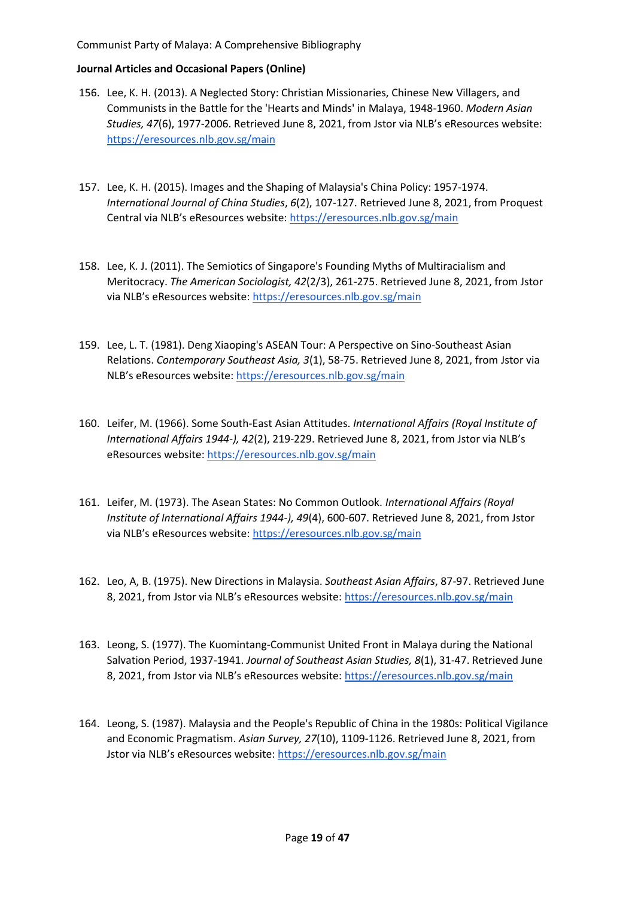- 156. Lee, K. H. (2013). A Neglected Story: Christian Missionaries, Chinese New Villagers, and Communists in the Battle for the 'Hearts and Minds' in Malaya, 1948-1960. *Modern Asian Studies, 47*(6), 1977-2006. Retrieved June 8, 2021, from Jstor via NLB's eResources website: <https://eresources.nlb.gov.sg/main>
- 157. Lee, K. H. (2015). Images and the Shaping of Malaysia's China Policy: 1957-1974. *International Journal of China Studies*, *6*(2), 107-127. Retrieved June 8, 2021, from Proquest Central via NLB's eResources website: <https://eresources.nlb.gov.sg/main>
- 158. Lee, K. J. (2011). The Semiotics of Singapore's Founding Myths of Multiracialism and Meritocracy. *The American Sociologist, 42*(2/3), 261-275. Retrieved June 8, 2021, from Jstor via NLB's eResources website: <https://eresources.nlb.gov.sg/main>
- 159. Lee, L. T. (1981). Deng Xiaoping's ASEAN Tour: A Perspective on Sino-Southeast Asian Relations. *Contemporary Southeast Asia, 3*(1), 58-75. Retrieved June 8, 2021, from Jstor via NLB's eResources website: <https://eresources.nlb.gov.sg/main>
- 160. Leifer, M. (1966). Some South-East Asian Attitudes. *International Affairs (Royal Institute of International Affairs 1944-), 42*(2), 219-229. Retrieved June 8, 2021, from Jstor via NLB's eResources website:<https://eresources.nlb.gov.sg/main>
- 161. Leifer, M. (1973). The Asean States: No Common Outlook. *International Affairs (Royal Institute of International Affairs 1944-), 49*(4), 600-607. Retrieved June 8, 2021, from Jstor via NLB's eResources website: <https://eresources.nlb.gov.sg/main>
- 162. Leo, A, B. (1975). New Directions in Malaysia. *Southeast Asian Affairs*, 87-97. Retrieved June 8, 2021, from Jstor via NLB's eResources website: <https://eresources.nlb.gov.sg/main>
- 163. Leong, S. (1977). The Kuomintang-Communist United Front in Malaya during the National Salvation Period, 1937-1941. *Journal of Southeast Asian Studies, 8*(1), 31-47. Retrieved June 8, 2021, from Jstor via NLB's eResources website: <https://eresources.nlb.gov.sg/main>
- 164. Leong, S. (1987). Malaysia and the People's Republic of China in the 1980s: Political Vigilance and Economic Pragmatism. *Asian Survey, 27*(10), 1109-1126. Retrieved June 8, 2021, from Jstor via NLB's eResources website: <https://eresources.nlb.gov.sg/main>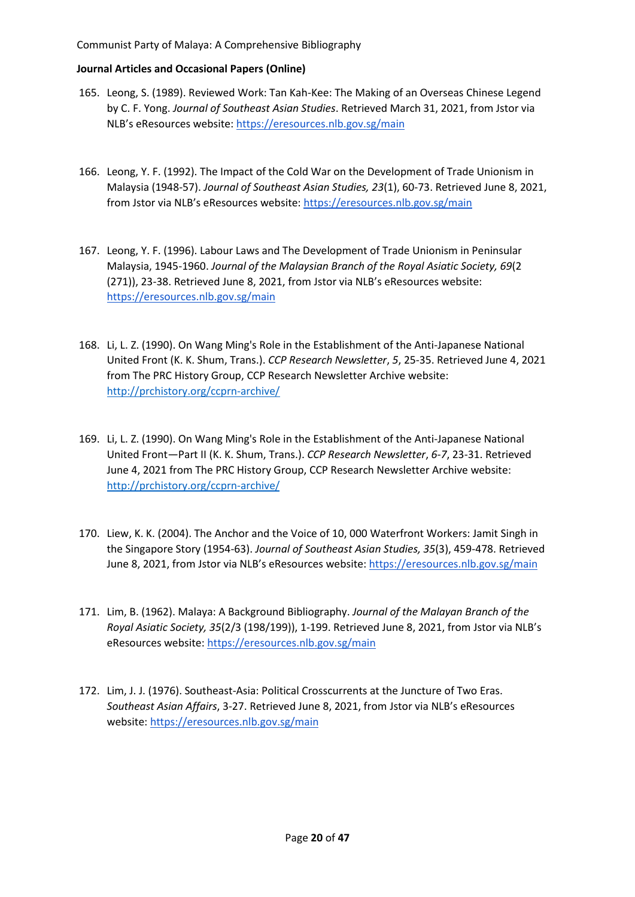- 165. Leong, S. (1989). Reviewed Work: Tan Kah-Kee: The Making of an Overseas Chinese Legend by C. F. Yong. *Journal of Southeast Asian Studies*. Retrieved March 31, 2021, from Jstor via NLB's eResources website: <https://eresources.nlb.gov.sg/main>
- 166. Leong, Y. F. (1992). The Impact of the Cold War on the Development of Trade Unionism in Malaysia (1948-57). *Journal of Southeast Asian Studies, 23*(1), 60-73. Retrieved June 8, 2021, from Jstor via NLB's eResources website: <https://eresources.nlb.gov.sg/main>
- 167. Leong, Y. F. (1996). Labour Laws and The Development of Trade Unionism in Peninsular Malaysia, 1945-1960. *Journal of the Malaysian Branch of the Royal Asiatic Society, 69*(2 (271)), 23-38. Retrieved June 8, 2021, from Jstor via NLB's eResources website: <https://eresources.nlb.gov.sg/main>
- 168. Li, L. Z. (1990). On Wang Ming's Role in the Establishment of the Anti-Japanese National United Front (K. K. Shum, Trans.). *CCP Research Newsletter*, *5*, 25-35. Retrieved June 4, 2021 from The PRC History Group, CCP Research Newsletter Archive website: <http://prchistory.org/ccprn-archive/>
- 169. Li, L. Z. (1990). On Wang Ming's Role in the Establishment of the Anti-Japanese National United Front—Part II (K. K. Shum, Trans.). *CCP Research Newsletter*, *6-7*, 23-31. Retrieved June 4, 2021 from The PRC History Group, CCP Research Newsletter Archive website: <http://prchistory.org/ccprn-archive/>
- 170. Liew, K. K. (2004). The Anchor and the Voice of 10, 000 Waterfront Workers: Jamit Singh in the Singapore Story (1954-63). *Journal of Southeast Asian Studies, 35*(3), 459-478. Retrieved June 8, 2021, from Jstor via NLB's eResources website: <https://eresources.nlb.gov.sg/main>
- 171. Lim, B. (1962). Malaya: A Background Bibliography. *Journal of the Malayan Branch of the Royal Asiatic Society, 35*(2/3 (198/199)), 1-199. Retrieved June 8, 2021, from Jstor via NLB's eResources website:<https://eresources.nlb.gov.sg/main>
- 172. Lim, J. J. (1976). Southeast-Asia: Political Crosscurrents at the Juncture of Two Eras. *Southeast Asian Affairs*, 3-27. Retrieved June 8, 2021, from Jstor via NLB's eResources website:<https://eresources.nlb.gov.sg/main>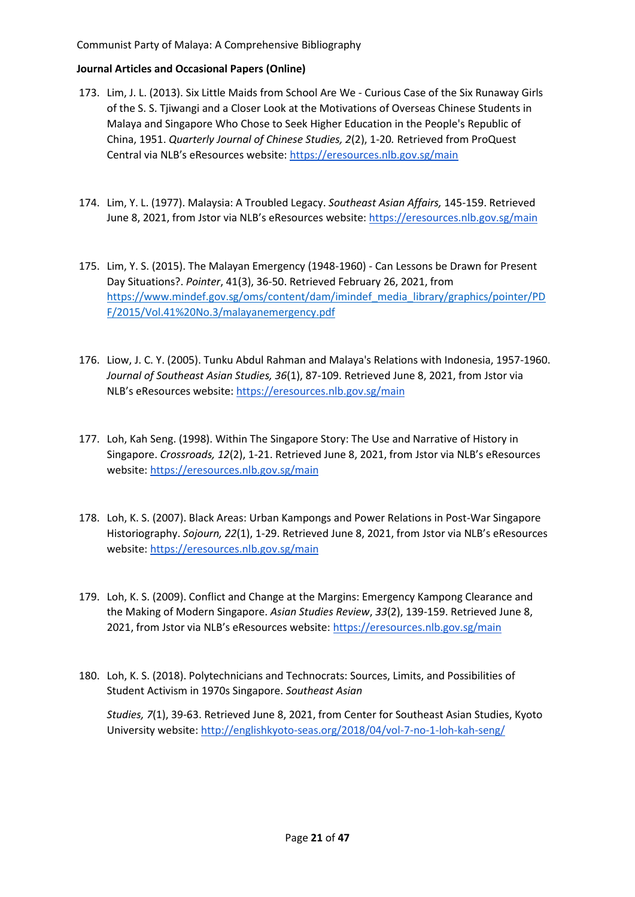## **Journal Articles and Occasional Papers (Online)**

- 173. Lim, J. L. (2013). Six Little Maids from School Are We Curious Case of the Six Runaway Girls of the S. S. Tjiwangi and a Closer Look at the Motivations of Overseas Chinese Students in Malaya and Singapore Who Chose to Seek Higher Education in the People's Republic of China, 1951. *Quarterly Journal of Chinese Studies, 2*(2), 1-20*.* Retrieved from ProQuest Central via NLB's eResources website: <https://eresources.nlb.gov.sg/main>
- 174. Lim, Y. L. (1977). Malaysia: A Troubled Legacy. *Southeast Asian Affairs,* 145-159. Retrieved June 8, 2021, from Jstor via NLB's eResources website: <https://eresources.nlb.gov.sg/main>
- 175. Lim, Y. S. (2015). The Malayan Emergency (1948-1960) Can Lessons be Drawn for Present Day Situations?. *Pointer*, 41(3), 36-50. Retrieved February 26, 2021, from [https://www.mindef.gov.sg/oms/content/dam/imindef\\_media\\_library/graphics/pointer/PD](https://www.mindef.gov.sg/oms/content/dam/imindef_media_library/graphics/pointer/PDF/2015/Vol.41%20No.3/malayanemergency.pdf) [F/2015/Vol.41%20No.3/malayanemergency.pdf](https://www.mindef.gov.sg/oms/content/dam/imindef_media_library/graphics/pointer/PDF/2015/Vol.41%20No.3/malayanemergency.pdf)
- 176. Liow, J. C. Y. (2005). Tunku Abdul Rahman and Malaya's Relations with Indonesia, 1957-1960. *Journal of Southeast Asian Studies, 36*(1), 87-109. Retrieved June 8, 2021, from Jstor via NLB's eResources website: <https://eresources.nlb.gov.sg/main>
- 177. Loh, Kah Seng. (1998). Within The Singapore Story: The Use and Narrative of History in Singapore. *Crossroads, 12*(2), 1-21. Retrieved June 8, 2021, from Jstor via NLB's eResources website:<https://eresources.nlb.gov.sg/main>
- 178. Loh, K. S. (2007). Black Areas: Urban Kampongs and Power Relations in Post-War Singapore Historiography. *Sojourn, 22*(1), 1-29. Retrieved June 8, 2021, from Jstor via NLB's eResources website:<https://eresources.nlb.gov.sg/main>
- 179. Loh, K. S. (2009). Conflict and Change at the Margins: Emergency Kampong Clearance and the Making of Modern Singapore. *Asian Studies Review*, *33*(2), 139-159. Retrieved June 8, 2021, from Jstor via NLB's eResources website: <https://eresources.nlb.gov.sg/main>
- 180. Loh, K. S. (2018). Polytechnicians and Technocrats: Sources, Limits, and Possibilities of Student Activism in 1970s Singapore. *Southeast Asian*

*Studies, 7*(1), 39-63. Retrieved June 8, 2021, from Center for Southeast Asian Studies, Kyoto University website: <http://englishkyoto-seas.org/2018/04/vol-7-no-1-loh-kah-seng/>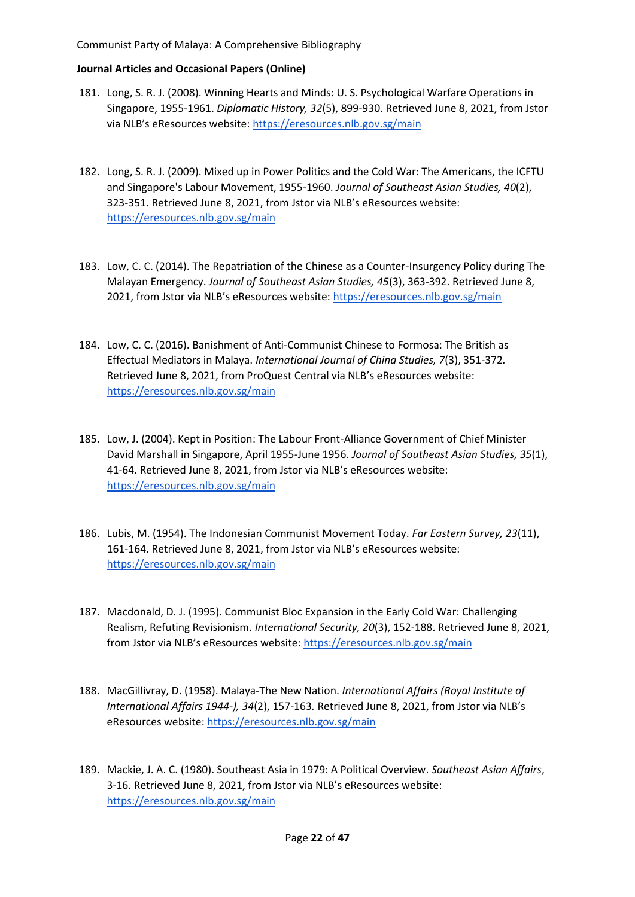- 181. Long, S. R. J. (2008). Winning Hearts and Minds: U. S. Psychological Warfare Operations in Singapore, 1955-1961. *Diplomatic History, 32*(5), 899-930. Retrieved June 8, 2021, from Jstor via NLB's eResources website: <https://eresources.nlb.gov.sg/main>
- 182. Long, S. R. J. (2009). Mixed up in Power Politics and the Cold War: The Americans, the ICFTU and Singapore's Labour Movement, 1955-1960. *Journal of Southeast Asian Studies, 40*(2), 323-351. Retrieved June 8, 2021, from Jstor via NLB's eResources website: <https://eresources.nlb.gov.sg/main>
- 183. Low, C. C. (2014). The Repatriation of the Chinese as a Counter-Insurgency Policy during The Malayan Emergency. *Journal of Southeast Asian Studies, 45*(3), 363-392. Retrieved June 8, 2021, from Jstor via NLB's eResources website: <https://eresources.nlb.gov.sg/main>
- 184. Low, C. C. (2016). Banishment of Anti-Communist Chinese to Formosa: The British as Effectual Mediators in Malaya. *International Journal of China Studies, 7*(3), 351-372*.* Retrieved June 8, 2021, from ProQuest Central via NLB's eResources website: <https://eresources.nlb.gov.sg/main>
- 185. Low, J. (2004). Kept in Position: The Labour Front-Alliance Government of Chief Minister David Marshall in Singapore, April 1955-June 1956. *Journal of Southeast Asian Studies, 35*(1), 41-64. Retrieved June 8, 2021, from Jstor via NLB's eResources website: <https://eresources.nlb.gov.sg/main>
- 186. Lubis, M. (1954). The Indonesian Communist Movement Today. *Far Eastern Survey, 23*(11), 161-164. Retrieved June 8, 2021, from Jstor via NLB's eResources website: <https://eresources.nlb.gov.sg/main>
- 187. Macdonald, D. J. (1995). Communist Bloc Expansion in the Early Cold War: Challenging Realism, Refuting Revisionism. *International Security, 20*(3), 152-188. Retrieved June 8, 2021, from Jstor via NLB's eResources website: <https://eresources.nlb.gov.sg/main>
- 188. MacGillivray, D. (1958). Malaya-The New Nation. *International Affairs (Royal Institute of International Affairs 1944-), 34*(2), 157-163*.* Retrieved June 8, 2021, from Jstor via NLB's eResources website:<https://eresources.nlb.gov.sg/main>
- 189. Mackie, J. A. C. (1980). Southeast Asia in 1979: A Political Overview. *Southeast Asian Affairs*, 3-16. Retrieved June 8, 2021, from Jstor via NLB's eResources website: <https://eresources.nlb.gov.sg/main>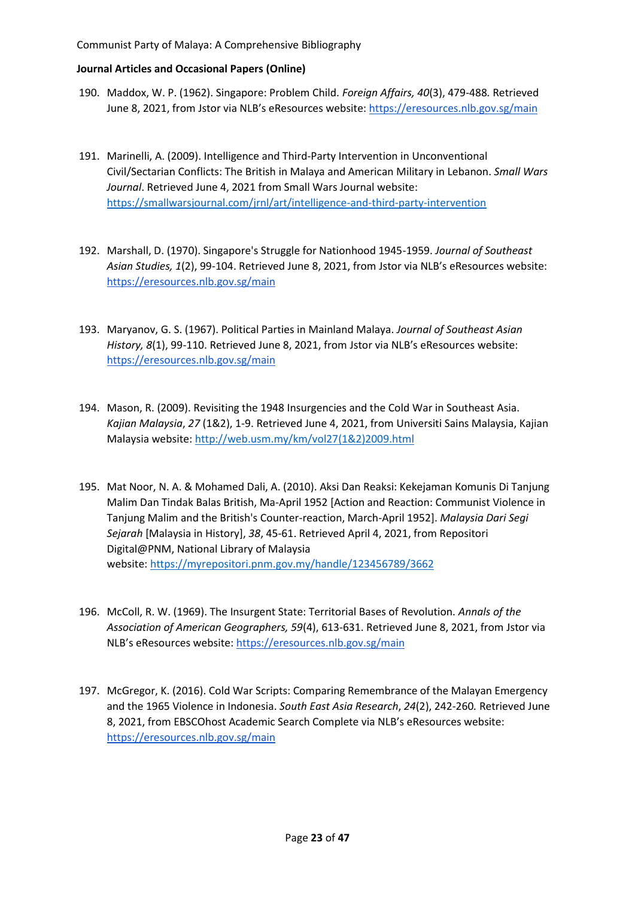- 190. Maddox, W. P. (1962). Singapore: Problem Child. *Foreign Affairs, 40*(3), 479-488*.* Retrieved June 8, 2021, from Jstor via NLB's eResources website: <https://eresources.nlb.gov.sg/main>
- 191. Marinelli, A. (2009). Intelligence and Third-Party Intervention in Unconventional Civil/Sectarian Conflicts: The British in Malaya and American Military in Lebanon. *Small Wars Journal*. Retrieved June 4, 2021 from Small Wars Journal website: <https://smallwarsjournal.com/jrnl/art/intelligence-and-third-party-intervention>
- 192. Marshall, D. (1970). Singapore's Struggle for Nationhood 1945-1959. *Journal of Southeast Asian Studies, 1*(2), 99-104. Retrieved June 8, 2021, from Jstor via NLB's eResources website: <https://eresources.nlb.gov.sg/main>
- 193. Maryanov, G. S. (1967). Political Parties in Mainland Malaya. *Journal of Southeast Asian History, 8*(1), 99-110. Retrieved June 8, 2021, from Jstor via NLB's eResources website: <https://eresources.nlb.gov.sg/main>
- 194. Mason, R. (2009). Revisiting the 1948 Insurgencies and the Cold War in Southeast Asia. *Kajian Malaysia*, *27* (1&2), 1-9. Retrieved June 4, 2021, from Universiti Sains Malaysia, Kajian Malaysia website: [http://web.usm.my/km/vol27\(1&2\)2009.html](http://web.usm.my/km/vol27(1&2)2009.html)
- 195. Mat Noor, N. A. & Mohamed Dali, A. (2010). Aksi Dan Reaksi: Kekejaman Komunis Di Tanjung Malim Dan Tindak Balas British, Ma-April 1952 [Action and Reaction: Communist Violence in Tanjung Malim and the British's Counter-reaction, March-April 1952]. *Malaysia Dari Segi Sejarah* [Malaysia in History], *38*, 45-61. Retrieved April 4, 2021, from Repositori Digital@PNM, National Library of Malaysia website: <https://myrepositori.pnm.gov.my/handle/123456789/3662>
- 196. McColl, R. W. (1969). The Insurgent State: Territorial Bases of Revolution. *Annals of the Association of American Geographers, 59*(4), 613-631. Retrieved June 8, 2021, from Jstor via NLB's eResources website: <https://eresources.nlb.gov.sg/main>
- 197. McGregor, K. (2016). Cold War Scripts: Comparing Remembrance of the Malayan Emergency and the 1965 Violence in Indonesia. *South East Asia Research*, *24*(2), 242-260*.* Retrieved June 8, 2021, from EBSCOhost Academic Search Complete via NLB's eResources website: <https://eresources.nlb.gov.sg/main>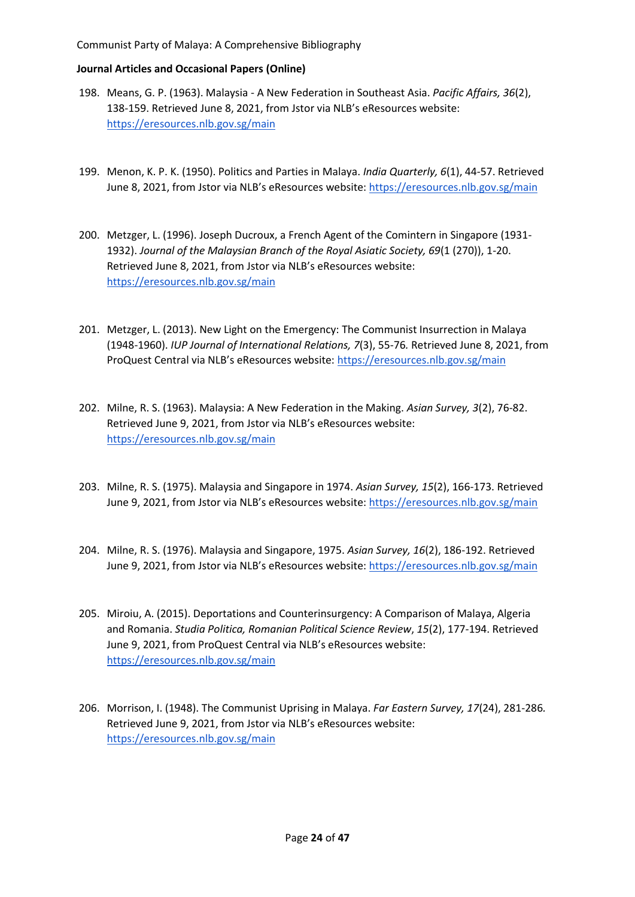- 198. Means, G. P. (1963). Malaysia A New Federation in Southeast Asia. *Pacific Affairs, 36*(2), 138-159. Retrieved June 8, 2021, from Jstor via NLB's eResources website: <https://eresources.nlb.gov.sg/main>
- 199. Menon, K. P. K. (1950). Politics and Parties in Malaya. *India Quarterly, 6*(1), 44-57. Retrieved June 8, 2021, from Jstor via NLB's eResources website: <https://eresources.nlb.gov.sg/main>
- 200. Metzger, L. (1996). Joseph Ducroux, a French Agent of the Comintern in Singapore (1931- 1932). *Journal of the Malaysian Branch of the Royal Asiatic Society, 69*(1 (270)), 1-20. Retrieved June 8, 2021, from Jstor via NLB's eResources website: <https://eresources.nlb.gov.sg/main>
- 201. Metzger, L. (2013). New Light on the Emergency: The Communist Insurrection in Malaya (1948-1960). *IUP Journal of International Relations, 7*(3), 55-76*.* Retrieved June 8, 2021, from ProQuest Central via NLB's eResources website: <https://eresources.nlb.gov.sg/main>
- 202. Milne, R. S. (1963). Malaysia: A New Federation in the Making. *Asian Survey, 3*(2), 76-82. Retrieved June 9, 2021, from Jstor via NLB's eResources website: <https://eresources.nlb.gov.sg/main>
- 203. Milne, R. S. (1975). Malaysia and Singapore in 1974. *Asian Survey, 15*(2), 166-173. Retrieved June 9, 2021, from Jstor via NLB's eResources website: <https://eresources.nlb.gov.sg/main>
- 204. Milne, R. S. (1976). Malaysia and Singapore, 1975. *Asian Survey, 16*(2), 186-192. Retrieved June 9, 2021, from Jstor via NLB's eResources website: <https://eresources.nlb.gov.sg/main>
- 205. Miroiu, A. (2015). Deportations and Counterinsurgency: A Comparison of Malaya, Algeria and Romania. *Studia Politica, Romanian Political Science Review*, *15*(2), 177-194. Retrieved June 9, 2021, from ProQuest Central via NLB's eResources website: <https://eresources.nlb.gov.sg/main>
- 206. Morrison, I. (1948). The Communist Uprising in Malaya. *Far Eastern Survey, 17*(24), 281-286*.*  Retrieved June 9, 2021, from Jstor via NLB's eResources website: <https://eresources.nlb.gov.sg/main>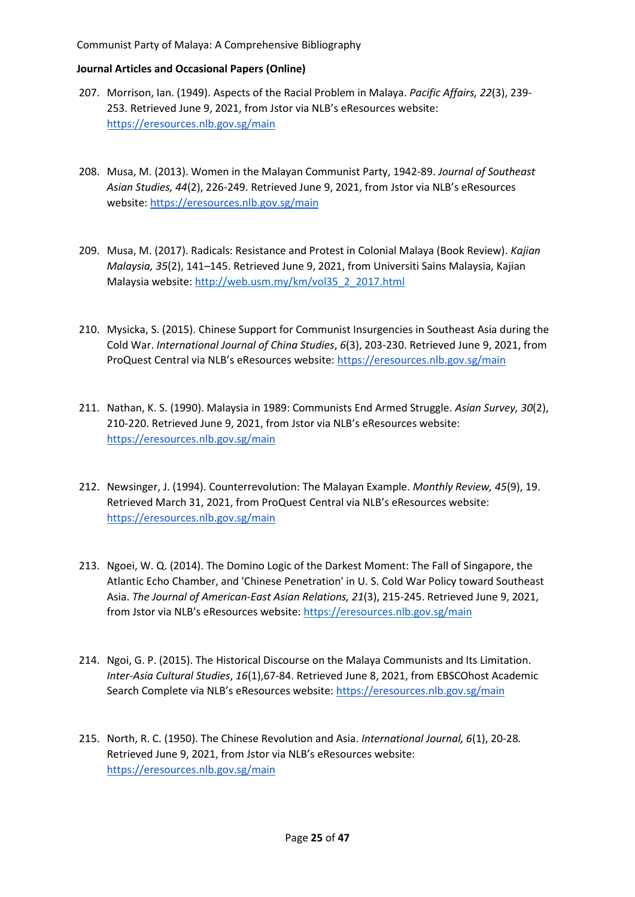- 207. Morrison, Ian. (1949). Aspects of the Racial Problem in Malaya. *Pacific Affairs, 22*(3), 239- 253. Retrieved June 9, 2021, from Jstor via NLB's eResources website: <https://eresources.nlb.gov.sg/main>
- 208. Musa, M. (2013). Women in the Malayan Communist Party, 1942-89. *Journal of Southeast Asian Studies, 44*(2), 226-249. Retrieved June 9, 2021, from Jstor via NLB's eResources website:<https://eresources.nlb.gov.sg/main>
- 209. Musa, M. (2017). Radicals: Resistance and Protest in Colonial Malaya (Book Review). *Kajian Malaysia, 35*(2), 141–145. Retrieved June 9, 2021, from Universiti Sains Malaysia, Kajian Malaysia website: [http://web.usm.my/km/vol35\\_2\\_2017.html](http://web.usm.my/km/vol35_2_2017.html)
- 210. Mysicka, S. (2015). Chinese Support for Communist Insurgencies in Southeast Asia during the Cold War. *International Journal of China Studies*, *6*(3), 203-230. Retrieved June 9, 2021, from ProQuest Central via NLB's eResources website: <https://eresources.nlb.gov.sg/main>
- 211. Nathan, K. S. (1990). Malaysia in 1989: Communists End Armed Struggle. *Asian Survey, 30*(2), 210-220. Retrieved June 9, 2021, from Jstor via NLB's eResources website: <https://eresources.nlb.gov.sg/main>
- 212. Newsinger, J. (1994). Counterrevolution: The Malayan Example. *Monthly Review, 45*(9), 19. Retrieved March 31, 2021, from ProQuest Central via NLB's eResources website: <https://eresources.nlb.gov.sg/main>
- 213. Ngoei, W. Q. (2014). The Domino Logic of the Darkest Moment: The Fall of Singapore, the Atlantic Echo Chamber, and 'Chinese Penetration' in U. S. Cold War Policy toward Southeast Asia. *The Journal of American-East Asian Relations, 21*(3), 215-245. Retrieved June 9, 2021, from Jstor via NLB's eResources website: <https://eresources.nlb.gov.sg/main>
- 214. Ngoi, G. P. (2015). The Historical Discourse on the Malaya Communists and Its Limitation. *Inter-Asia Cultural Studies*, *16*(1),67-84. Retrieved June 8, 2021, from EBSCOhost Academic Search Complete via NLB's eResources website: <https://eresources.nlb.gov.sg/main>
- 215. North, R. C. (1950). The Chinese Revolution and Asia. *International Journal, 6*(1), 20-28*.* Retrieved June 9, 2021, from Jstor via NLB's eResources website: <https://eresources.nlb.gov.sg/main>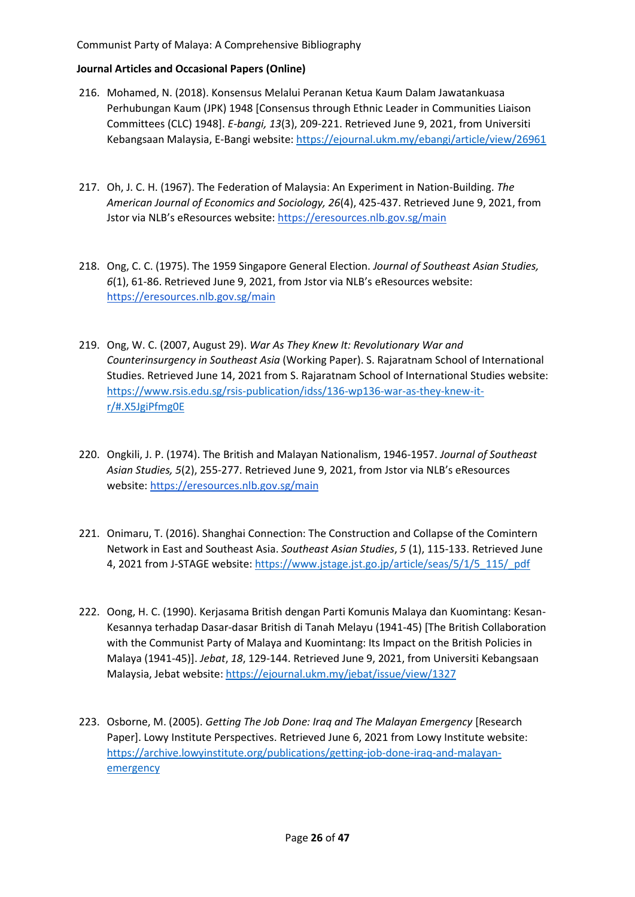- 216. Mohamed, N. (2018). Konsensus Melalui Peranan Ketua Kaum Dalam Jawatankuasa Perhubungan Kaum (JPK) 1948 [Consensus through Ethnic Leader in Communities Liaison Committees (CLC) 1948]. *E-bangi, 13*(3), 209-221. Retrieved June 9, 2021, from Universiti Kebangsaan Malaysia, E-Bangi website:<https://ejournal.ukm.my/ebangi/article/view/26961>
- 217. Oh, J. C. H. (1967). The Federation of Malaysia: An Experiment in Nation-Building. *The American Journal of Economics and Sociology, 26*(4), 425-437. Retrieved June 9, 2021, from Jstor via NLB's eResources website: <https://eresources.nlb.gov.sg/main>
- 218. Ong, C. C. (1975). The 1959 Singapore General Election. *Journal of Southeast Asian Studies, 6*(1), 61-86. Retrieved June 9, 2021, from Jstor via NLB's eResources website: <https://eresources.nlb.gov.sg/main>
- 219. Ong, W. C. (2007, August 29). *War As They Knew It: Revolutionary War and Counterinsurgency in Southeast Asia* (Working Paper). S. Rajaratnam School of International Studies. Retrieved June 14, 2021 from S. Rajaratnam School of International Studies website: [https://www.rsis.edu.sg/rsis-publication/idss/136-wp136-war-as-they-knew-it](https://www.rsis.edu.sg/rsis-publication/idss/136-wp136-war-as-they-knew-it-r/#.X5JgiPfmg0E)[r/#.X5JgiPfmg0E](https://www.rsis.edu.sg/rsis-publication/idss/136-wp136-war-as-they-knew-it-r/#.X5JgiPfmg0E)
- 220. Ongkili, J. P. (1974). The British and Malayan Nationalism, 1946-1957. *Journal of Southeast Asian Studies, 5*(2), 255-277. Retrieved June 9, 2021, from Jstor via NLB's eResources website:<https://eresources.nlb.gov.sg/main>
- 221. Onimaru, T. (2016). Shanghai Connection: The Construction and Collapse of the Comintern Network in East and Southeast Asia. *Southeast Asian Studies*, *5* (1), 115-133. Retrieved June 4, 2021 from J-STAGE website: [https://www.jstage.jst.go.jp/article/seas/5/1/5\\_115/\\_pdf](https://www.jstage.jst.go.jp/article/seas/5/1/5_115/_pdf)
- 222. Oong, H. C. (1990). Kerjasama British dengan Parti Komunis Malaya dan Kuomintang: Kesan-Kesannya terhadap Dasar-dasar British di Tanah Melayu (1941-45) [The British Collaboration with the Communist Party of Malaya and Kuomintang: Its Impact on the British Policies in Malaya (1941-45)]. *Jebat*, *18*, 129-144. Retrieved June 9, 2021, from Universiti Kebangsaan Malaysia, Jebat website:<https://ejournal.ukm.my/jebat/issue/view/1327>
- 223. Osborne, M. (2005). *Getting The Job Done: Iraq and The Malayan Emergency* [Research Paper]. Lowy Institute Perspectives. Retrieved June 6, 2021 from Lowy Institute website: [https://archive.lowyinstitute.org/publications/getting-job-done-iraq-and-malayan](https://archive.lowyinstitute.org/publications/getting-job-done-iraq-and-malayan-emergency)[emergency](https://archive.lowyinstitute.org/publications/getting-job-done-iraq-and-malayan-emergency)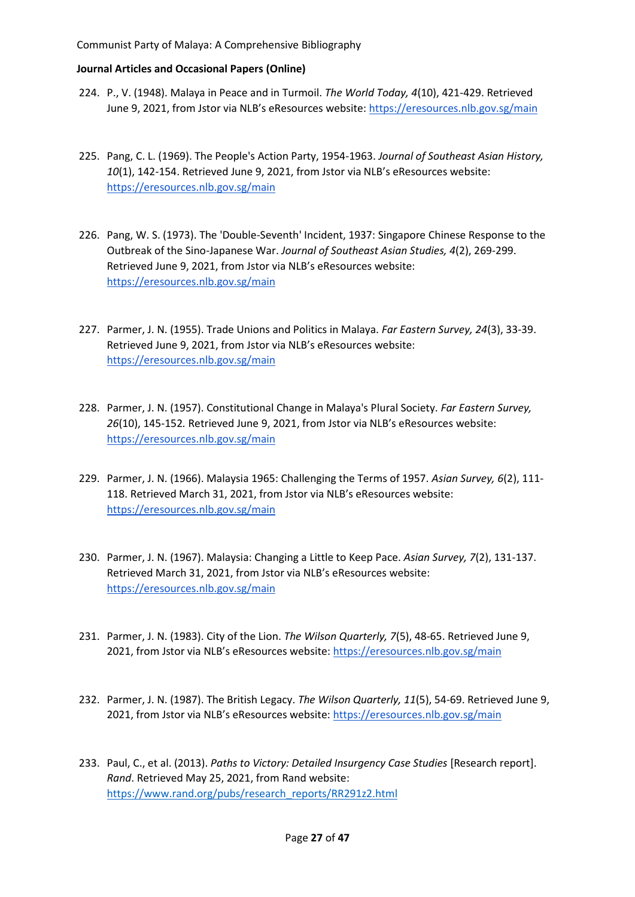- 224. P., V. (1948). Malaya in Peace and in Turmoil. *The World Today, 4*(10), 421-429. Retrieved June 9, 2021, from Jstor via NLB's eResources website: <https://eresources.nlb.gov.sg/main>
- 225. Pang, C. L. (1969). The People's Action Party, 1954-1963. *Journal of Southeast Asian History, 10*(1), 142-154. Retrieved June 9, 2021, from Jstor via NLB's eResources website: <https://eresources.nlb.gov.sg/main>
- 226. Pang, W. S. (1973). The 'Double-Seventh' Incident, 1937: Singapore Chinese Response to the Outbreak of the Sino-Japanese War. *Journal of Southeast Asian Studies, 4*(2), 269-299. Retrieved June 9, 2021, from Jstor via NLB's eResources website: <https://eresources.nlb.gov.sg/main>
- 227. Parmer, J. N. (1955). Trade Unions and Politics in Malaya. *Far Eastern Survey, 24*(3), 33-39. Retrieved June 9, 2021, from Jstor via NLB's eResources website: <https://eresources.nlb.gov.sg/main>
- 228. Parmer, J. N. (1957). Constitutional Change in Malaya's Plural Society. *Far Eastern Survey, 26*(10), 145-152*.* Retrieved June 9, 2021, from Jstor via NLB's eResources website: <https://eresources.nlb.gov.sg/main>
- 229. Parmer, J. N. (1966). Malaysia 1965: Challenging the Terms of 1957. *Asian Survey, 6*(2), 111- 118. Retrieved March 31, 2021, from Jstor via NLB's eResources website: <https://eresources.nlb.gov.sg/main>
- 230. Parmer, J. N. (1967). Malaysia: Changing a Little to Keep Pace. *Asian Survey, 7*(2), 131-137. Retrieved March 31, 2021, from Jstor via NLB's eResources website: <https://eresources.nlb.gov.sg/main>
- 231. Parmer, J. N. (1983). City of the Lion. *The Wilson Quarterly, 7*(5), 48-65. Retrieved June 9, 2021, from Jstor via NLB's eResources website:<https://eresources.nlb.gov.sg/main>
- 232. Parmer, J. N. (1987). The British Legacy. *The Wilson Quarterly, 11*(5), 54-69. Retrieved June 9, 2021, from Jstor via NLB's eResources website: <https://eresources.nlb.gov.sg/main>
- 233. Paul, C., et al. (2013). *Paths to Victory: Detailed Insurgency Case Studies* [Research report]. *Rand*. Retrieved May 25, 2021, from Rand website: [https://www.rand.org/pubs/research\\_reports/RR291z2.html](https://www.rand.org/pubs/research_reports/RR291z2.html)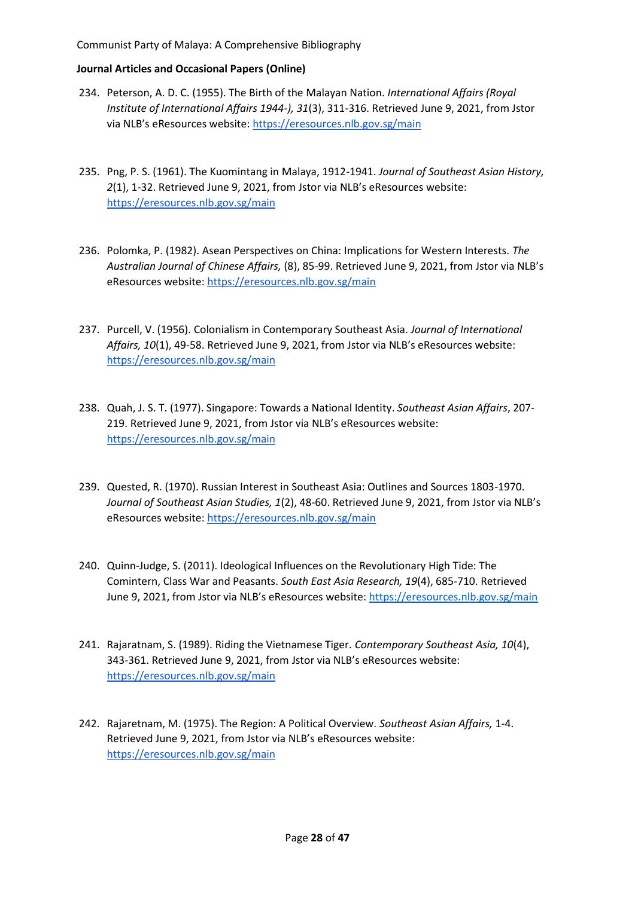- 234. Peterson, A. D. C. (1955). The Birth of the Malayan Nation. *International Affairs (Royal Institute of International Affairs 1944-), 31*(3), 311-316. Retrieved June 9, 2021, from Jstor via NLB's eResources website: <https://eresources.nlb.gov.sg/main>
- 235. Png, P. S. (1961). The Kuomintang in Malaya, 1912-1941. *Journal of Southeast Asian History, 2*(1), 1-32. Retrieved June 9, 2021, from Jstor via NLB's eResources website: <https://eresources.nlb.gov.sg/main>
- 236. Polomka, P. (1982). Asean Perspectives on China: Implications for Western Interests. *The Australian Journal of Chinese Affairs,* (8), 85-99. Retrieved June 9, 2021, from Jstor via NLB's eResources website:<https://eresources.nlb.gov.sg/main>
- 237. Purcell, V. (1956). Colonialism in Contemporary Southeast Asia. *Journal of International Affairs, 10*(1), 49-58. Retrieved June 9, 2021, from Jstor via NLB's eResources website: <https://eresources.nlb.gov.sg/main>
- 238. Quah, J. S. T. (1977). Singapore: Towards a National Identity. *Southeast Asian Affairs*, 207- 219. Retrieved June 9, 2021, from Jstor via NLB's eResources website: <https://eresources.nlb.gov.sg/main>
- 239. Quested, R. (1970). Russian Interest in Southeast Asia: Outlines and Sources 1803-1970. *Journal of Southeast Asian Studies, 1*(2), 48-60. Retrieved June 9, 2021, from Jstor via NLB's eResources website:<https://eresources.nlb.gov.sg/main>
- 240. Quinn-Judge, S. (2011). Ideological Influences on the Revolutionary High Tide: The Comintern, Class War and Peasants. *South East Asia Research, 19*(4), 685-710. Retrieved June 9, 2021, from Jstor via NLB's eResources website: <https://eresources.nlb.gov.sg/main>
- 241. Rajaratnam, S. (1989). Riding the Vietnamese Tiger. *Contemporary Southeast Asia, 10*(4), 343-361. Retrieved June 9, 2021, from Jstor via NLB's eResources website: <https://eresources.nlb.gov.sg/main>
- 242. Rajaretnam, M. (1975). The Region: A Political Overview. *Southeast Asian Affairs,* 1-4. Retrieved June 9, 2021, from Jstor via NLB's eResources website: <https://eresources.nlb.gov.sg/main>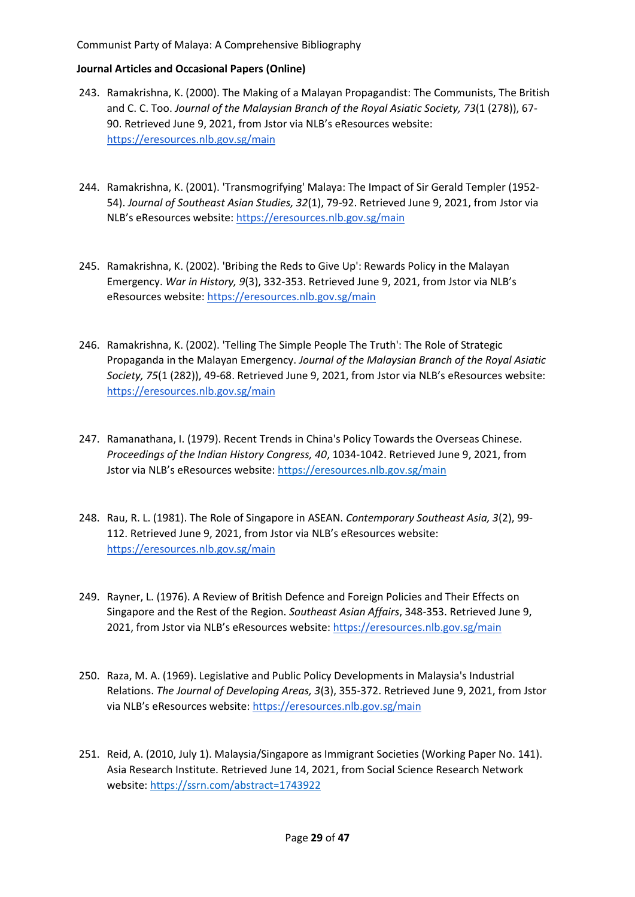- 243. Ramakrishna, K. (2000). The Making of a Malayan Propagandist: The Communists, The British and C. C. Too. *Journal of the Malaysian Branch of the Royal Asiatic Society, 73*(1 (278)), 67- 90. Retrieved June 9, 2021, from Jstor via NLB's eResources website: <https://eresources.nlb.gov.sg/main>
- 244. Ramakrishna, K. (2001). 'Transmogrifying' Malaya: The Impact of Sir Gerald Templer (1952- 54). *Journal of Southeast Asian Studies, 32*(1), 79-92. Retrieved June 9, 2021, from Jstor via NLB's eResources website: <https://eresources.nlb.gov.sg/main>
- 245. Ramakrishna, K. (2002). 'Bribing the Reds to Give Up': Rewards Policy in the Malayan Emergency. *War in History, 9*(3), 332-353. Retrieved June 9, 2021, from Jstor via NLB's eResources website:<https://eresources.nlb.gov.sg/main>
- 246. Ramakrishna, K. (2002). 'Telling The Simple People The Truth': The Role of Strategic Propaganda in the Malayan Emergency. *Journal of the Malaysian Branch of the Royal Asiatic Society, 75*(1 (282)), 49-68. Retrieved June 9, 2021, from Jstor via NLB's eResources website: <https://eresources.nlb.gov.sg/main>
- 247. Ramanathana, I. (1979). Recent Trends in China's Policy Towards the Overseas Chinese. *Proceedings of the Indian History Congress, 40*, 1034-1042. Retrieved June 9, 2021, from Jstor via NLB's eResources website: <https://eresources.nlb.gov.sg/main>
- 248. Rau, R. L. (1981). The Role of Singapore in ASEAN. *Contemporary Southeast Asia, 3*(2), 99- 112. Retrieved June 9, 2021, from Jstor via NLB's eResources website: <https://eresources.nlb.gov.sg/main>
- 249. Rayner, L. (1976). A Review of British Defence and Foreign Policies and Their Effects on Singapore and the Rest of the Region. *Southeast Asian Affairs*, 348-353. Retrieved June 9, 2021, from Jstor via NLB's eResources website:<https://eresources.nlb.gov.sg/main>
- 250. Raza, M. A. (1969). Legislative and Public Policy Developments in Malaysia's Industrial Relations. *The Journal of Developing Areas, 3*(3), 355-372. Retrieved June 9, 2021, from Jstor via NLB's eResources website: <https://eresources.nlb.gov.sg/main>
- 251. Reid, A. (2010, July 1). Malaysia/Singapore as Immigrant Societies (Working Paper No. 141). Asia Research Institute. Retrieved June 14, 2021, from Social Science Research Network website:<https://ssrn.com/abstract=1743922>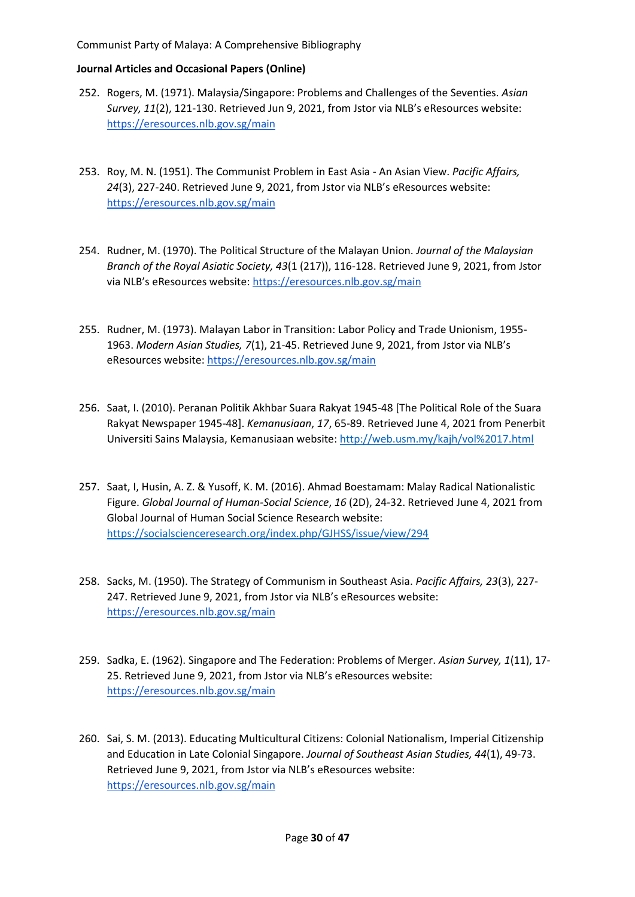- 252. Rogers, M. (1971). Malaysia/Singapore: Problems and Challenges of the Seventies. *Asian Survey, 11*(2), 121-130. Retrieved Jun 9, 2021, from Jstor via NLB's eResources website: <https://eresources.nlb.gov.sg/main>
- 253. Roy, M. N. (1951). The Communist Problem in East Asia An Asian View. *Pacific Affairs, 24*(3), 227-240. Retrieved June 9, 2021, from Jstor via NLB's eResources website: <https://eresources.nlb.gov.sg/main>
- 254. Rudner, M. (1970). The Political Structure of the Malayan Union. *Journal of the Malaysian Branch of the Royal Asiatic Society, 43*(1 (217)), 116-128. Retrieved June 9, 2021, from Jstor via NLB's eResources website: <https://eresources.nlb.gov.sg/main>
- 255. Rudner, M. (1973). Malayan Labor in Transition: Labor Policy and Trade Unionism, 1955- 1963. *Modern Asian Studies, 7*(1), 21-45. Retrieved June 9, 2021, from Jstor via NLB's eResources website:<https://eresources.nlb.gov.sg/main>
- 256. Saat, I. (2010). Peranan Politik Akhbar Suara Rakyat 1945-48 [The Political Role of the Suara Rakyat Newspaper 1945-48]. *Kemanusiaan*, *17*, 65-89. Retrieved June 4, 2021 from Penerbit Universiti Sains Malaysia, Kemanusiaan website[: http://web.usm.my/kajh/vol%2017.html](http://web.usm.my/kajh/vol%2017.html)
- 257. Saat, I, Husin, A. Z. & Yusoff, K. M. (2016). Ahmad Boestamam: Malay Radical Nationalistic Figure. *Global Journal of Human-Social Science*, *16* (2D), 24-32. Retrieved June 4, 2021 from Global Journal of Human Social Science Research website: <https://socialscienceresearch.org/index.php/GJHSS/issue/view/294>
- 258. Sacks, M. (1950). The Strategy of Communism in Southeast Asia. *Pacific Affairs, 23*(3), 227- 247. Retrieved June 9, 2021, from Jstor via NLB's eResources website: <https://eresources.nlb.gov.sg/main>
- 259. Sadka, E. (1962). Singapore and The Federation: Problems of Merger. *Asian Survey, 1*(11), 17- 25. Retrieved June 9, 2021, from Jstor via NLB's eResources website: <https://eresources.nlb.gov.sg/main>
- 260. Sai, S. M. (2013). Educating Multicultural Citizens: Colonial Nationalism, Imperial Citizenship and Education in Late Colonial Singapore. *Journal of Southeast Asian Studies, 44*(1), 49-73. Retrieved June 9, 2021, from Jstor via NLB's eResources website: <https://eresources.nlb.gov.sg/main>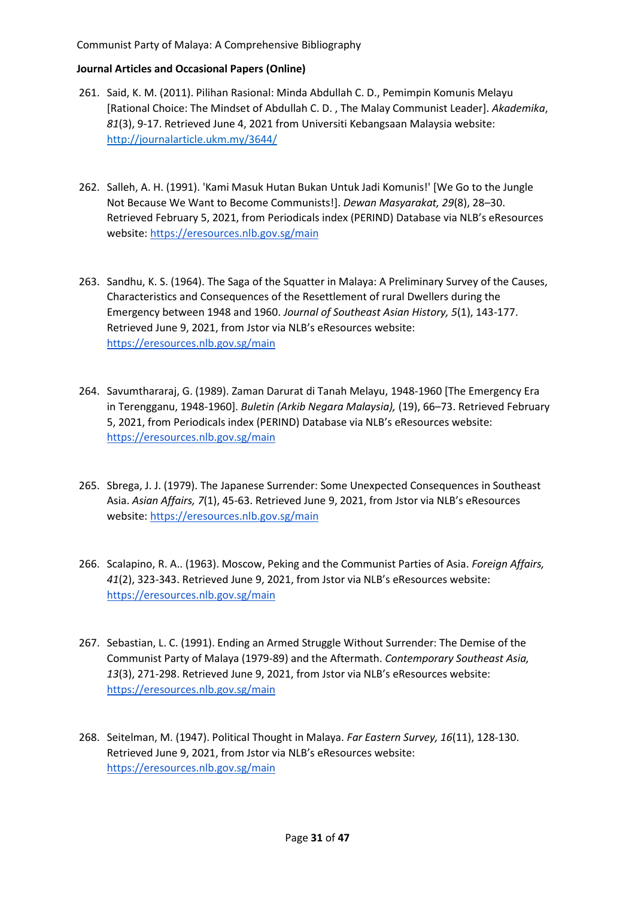- 261. Said, K. M. (2011). Pilihan Rasional: Minda Abdullah C. D., Pemimpin Komunis Melayu [Rational Choice: The Mindset of Abdullah C. D. , The Malay Communist Leader]. *Akademika*, *81*(3), 9-17. Retrieved June 4, 2021 from Universiti Kebangsaan Malaysia website: <http://journalarticle.ukm.my/3644/>
- 262. Salleh, A. H. (1991). 'Kami Masuk Hutan Bukan Untuk Jadi Komunis!' [We Go to the Jungle Not Because We Want to Become Communists!]. *Dewan Masyarakat, 29*(8), 28–30. Retrieved February 5, 2021, from Periodicals index (PERIND) Database via NLB's eResources website:<https://eresources.nlb.gov.sg/main>
- 263. Sandhu, K. S. (1964). The Saga of the Squatter in Malaya: A Preliminary Survey of the Causes, Characteristics and Consequences of the Resettlement of rural Dwellers during the Emergency between 1948 and 1960. *Journal of Southeast Asian History, 5*(1), 143-177. Retrieved June 9, 2021, from Jstor via NLB's eResources website: <https://eresources.nlb.gov.sg/main>
- 264. Savumthararaj, G. (1989). Zaman Darurat di Tanah Melayu, 1948-1960 [The Emergency Era in Terengganu, 1948-1960]. *Buletin (Arkib Negara Malaysia),* (19), 66–73. Retrieved February 5, 2021, from Periodicals index (PERIND) Database via NLB's eResources website: <https://eresources.nlb.gov.sg/main>
- 265. Sbrega, J. J. (1979). The Japanese Surrender: Some Unexpected Consequences in Southeast Asia. *Asian Affairs, 7*(1), 45-63. Retrieved June 9, 2021, from Jstor via NLB's eResources website:<https://eresources.nlb.gov.sg/main>
- 266. Scalapino, R. A.. (1963). Moscow, Peking and the Communist Parties of Asia. *Foreign Affairs, 41*(2), 323-343. Retrieved June 9, 2021, from Jstor via NLB's eResources website: <https://eresources.nlb.gov.sg/main>
- 267. Sebastian, L. C. (1991). Ending an Armed Struggle Without Surrender: The Demise of the Communist Party of Malaya (1979-89) and the Aftermath. *Contemporary Southeast Asia, 13*(3), 271-298. Retrieved June 9, 2021, from Jstor via NLB's eResources website: <https://eresources.nlb.gov.sg/main>
- 268. Seitelman, M. (1947). Political Thought in Malaya. *Far Eastern Survey, 16*(11), 128-130. Retrieved June 9, 2021, from Jstor via NLB's eResources website: <https://eresources.nlb.gov.sg/main>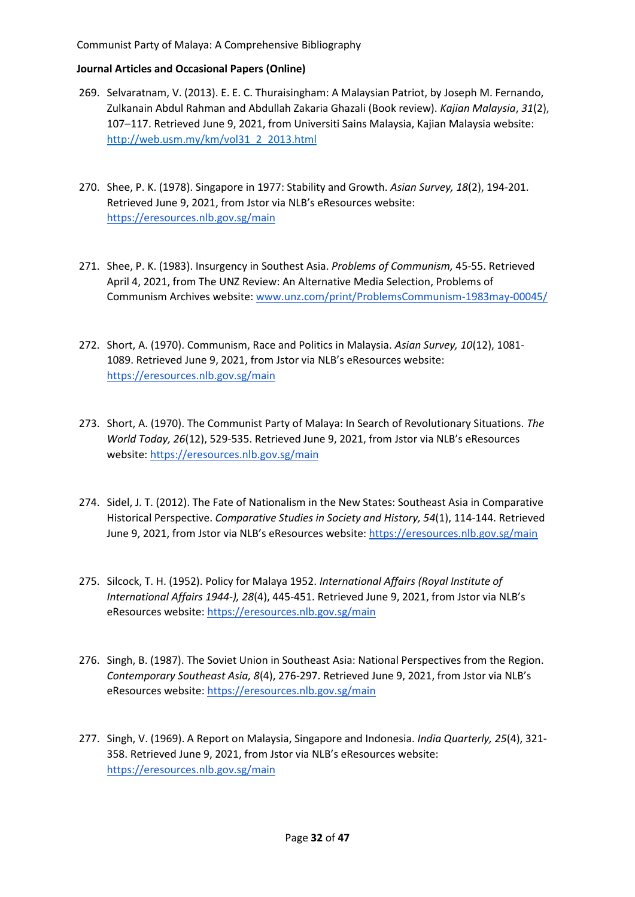- 269. Selvaratnam, V. (2013). E. E. C. Thuraisingham: A Malaysian Patriot, by Joseph M. Fernando, Zulkanain Abdul Rahman and Abdullah Zakaria Ghazali (Book review). *Kajian Malaysia*, *31*(2), 107–117. Retrieved June 9, 2021, from Universiti Sains Malaysia, Kajian Malaysia website: [http://web.usm.my/km/vol31\\_2\\_2013.html](http://web.usm.my/km/vol31_2_2013.html)
- 270. Shee, P. K. (1978). Singapore in 1977: Stability and Growth. *Asian Survey, 18*(2), 194-201. Retrieved June 9, 2021, from Jstor via NLB's eResources website: <https://eresources.nlb.gov.sg/main>
- 271. Shee, P. K. (1983). Insurgency in Southest Asia. *Problems of Communism,* 45-55. Retrieved April 4, 2021, from The UNZ Review: An Alternative Media Selection, Problems of Communism Archives website: [www.unz.com/print/ProblemsCommunism-1983may-00045/](http://www.unz.com/print/ProblemsCommunism-1983may-00045/)
- 272. Short, A. (1970). Communism, Race and Politics in Malaysia. *Asian Survey, 10*(12), 1081- 1089. Retrieved June 9, 2021, from Jstor via NLB's eResources website: <https://eresources.nlb.gov.sg/main>
- 273. Short, A. (1970). The Communist Party of Malaya: In Search of Revolutionary Situations. *The World Today, 26*(12), 529-535. Retrieved June 9, 2021, from Jstor via NLB's eResources website:<https://eresources.nlb.gov.sg/main>
- 274. Sidel, J. T. (2012). The Fate of Nationalism in the New States: Southeast Asia in Comparative Historical Perspective. *Comparative Studies in Society and History, 54*(1), 114-144. Retrieved June 9, 2021, from Jstor via NLB's eResources website: <https://eresources.nlb.gov.sg/main>
- 275. Silcock, T. H. (1952). Policy for Malaya 1952. *International Affairs (Royal Institute of International Affairs 1944-), 28*(4), 445-451. Retrieved June 9, 2021, from Jstor via NLB's eResources website:<https://eresources.nlb.gov.sg/main>
- 276. Singh, B. (1987). The Soviet Union in Southeast Asia: National Perspectives from the Region. *Contemporary Southeast Asia, 8*(4), 276-297. Retrieved June 9, 2021, from Jstor via NLB's eResources website:<https://eresources.nlb.gov.sg/main>
- 277. Singh, V. (1969). A Report on Malaysia, Singapore and Indonesia. *India Quarterly, 25*(4), 321- 358. Retrieved June 9, 2021, from Jstor via NLB's eResources website: <https://eresources.nlb.gov.sg/main>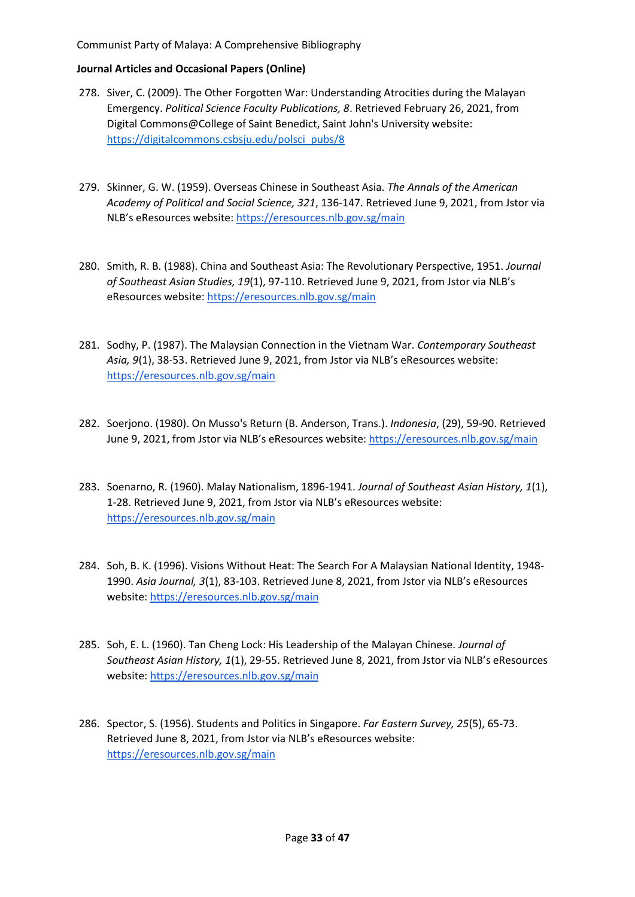- 278. Siver, C. (2009). The Other Forgotten War: Understanding Atrocities during the Malayan Emergency. *Political Science Faculty Publications, 8*. Retrieved February 26, 2021, from Digital Commons@College of Saint Benedict, Saint John's University website: [https://digitalcommons.csbsju.edu/polsci\\_pubs/8](https://digitalcommons.csbsju.edu/polsci_pubs/8)
- 279. Skinner, G. W. (1959). Overseas Chinese in Southeast Asia. *The Annals of the American Academy of Political and Social Science, 321*, 136-147. Retrieved June 9, 2021, from Jstor via NLB's eResources website: <https://eresources.nlb.gov.sg/main>
- 280. Smith, R. B. (1988). China and Southeast Asia: The Revolutionary Perspective, 1951. *Journal of Southeast Asian Studies, 19*(1), 97-110. Retrieved June 9, 2021, from Jstor via NLB's eResources website:<https://eresources.nlb.gov.sg/main>
- 281. Sodhy, P. (1987). The Malaysian Connection in the Vietnam War. *Contemporary Southeast Asia, 9*(1), 38-53. Retrieved June 9, 2021, from Jstor via NLB's eResources website: <https://eresources.nlb.gov.sg/main>
- 282. Soerjono. (1980). On Musso's Return (B. Anderson, Trans.). *Indonesia*, (29), 59-90. Retrieved June 9, 2021, from Jstor via NLB's eResources website: <https://eresources.nlb.gov.sg/main>
- 283. Soenarno, R. (1960). Malay Nationalism, 1896-1941. *Journal of Southeast Asian History, 1*(1), 1-28. Retrieved June 9, 2021, from Jstor via NLB's eResources website: <https://eresources.nlb.gov.sg/main>
- 284. Soh, B. K. (1996). Visions Without Heat: The Search For A Malaysian National Identity, 1948- 1990. *Asia Journal, 3*(1), 83-103. Retrieved June 8, 2021, from Jstor via NLB's eResources website:<https://eresources.nlb.gov.sg/main>
- 285. Soh, E. L. (1960). Tan Cheng Lock: His Leadership of the Malayan Chinese. *Journal of Southeast Asian History, 1*(1), 29-55. Retrieved June 8, 2021, from Jstor via NLB's eResources website:<https://eresources.nlb.gov.sg/main>
- 286. Spector, S. (1956). Students and Politics in Singapore. *Far Eastern Survey, 25*(5), 65-73. Retrieved June 8, 2021, from Jstor via NLB's eResources website: <https://eresources.nlb.gov.sg/main>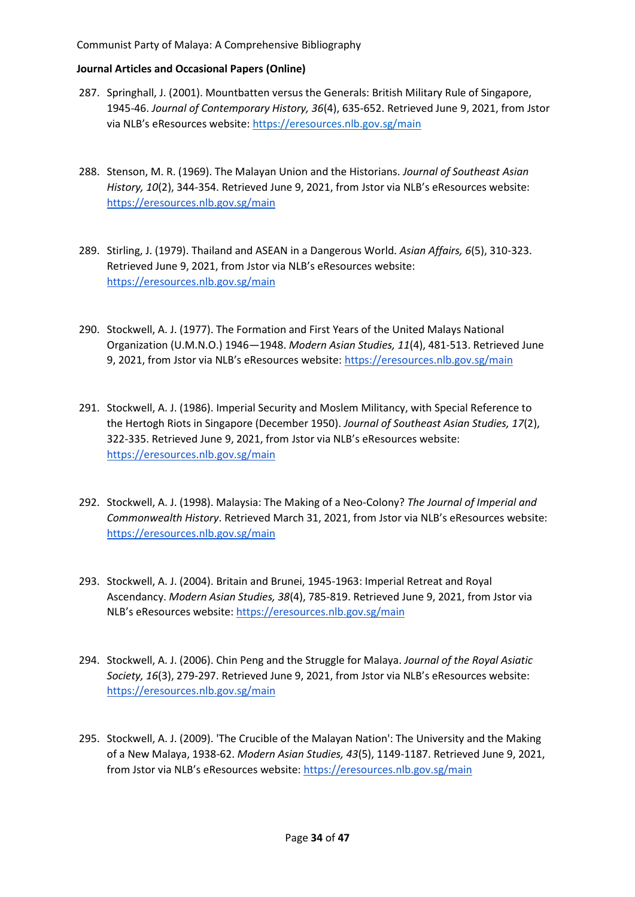- 287. Springhall, J. (2001). Mountbatten versus the Generals: British Military Rule of Singapore, 1945-46. *Journal of Contemporary History, 36*(4), 635-652. Retrieved June 9, 2021, from Jstor via NLB's eResources website: <https://eresources.nlb.gov.sg/main>
- 288. Stenson, M. R. (1969). The Malayan Union and the Historians. *Journal of Southeast Asian History, 10*(2), 344-354. Retrieved June 9, 2021, from Jstor via NLB's eResources website: <https://eresources.nlb.gov.sg/main>
- 289. Stirling, J. (1979). Thailand and ASEAN in a Dangerous World. *Asian Affairs, 6*(5), 310-323. Retrieved June 9, 2021, from Jstor via NLB's eResources website: <https://eresources.nlb.gov.sg/main>
- 290. Stockwell, A. J. (1977). The Formation and First Years of the United Malays National Organization (U.M.N.O.) 1946—1948. *Modern Asian Studies, 11*(4), 481-513. Retrieved June 9, 2021, from Jstor via NLB's eResources website: <https://eresources.nlb.gov.sg/main>
- 291. Stockwell, A. J. (1986). Imperial Security and Moslem Militancy, with Special Reference to the Hertogh Riots in Singapore (December 1950). *Journal of Southeast Asian Studies, 17*(2), 322-335. Retrieved June 9, 2021, from Jstor via NLB's eResources website: <https://eresources.nlb.gov.sg/main>
- 292. Stockwell, A. J. (1998). Malaysia: The Making of a Neo-Colony? *The Journal of Imperial and Commonwealth History*. Retrieved March 31, 2021, from Jstor via NLB's eResources website: <https://eresources.nlb.gov.sg/main>
- 293. Stockwell, A. J. (2004). Britain and Brunei, 1945-1963: Imperial Retreat and Royal Ascendancy. *Modern Asian Studies, 38*(4), 785-819. Retrieved June 9, 2021, from Jstor via NLB's eResources website: <https://eresources.nlb.gov.sg/main>
- 294. Stockwell, A. J. (2006). Chin Peng and the Struggle for Malaya. *Journal of the Royal Asiatic Society, 16*(3), 279-297. Retrieved June 9, 2021, from Jstor via NLB's eResources website: <https://eresources.nlb.gov.sg/main>
- 295. Stockwell, A. J. (2009). 'The Crucible of the Malayan Nation': The University and the Making of a New Malaya, 1938-62. *Modern Asian Studies, 43*(5), 1149-1187. Retrieved June 9, 2021, from Jstor via NLB's eResources website: <https://eresources.nlb.gov.sg/main>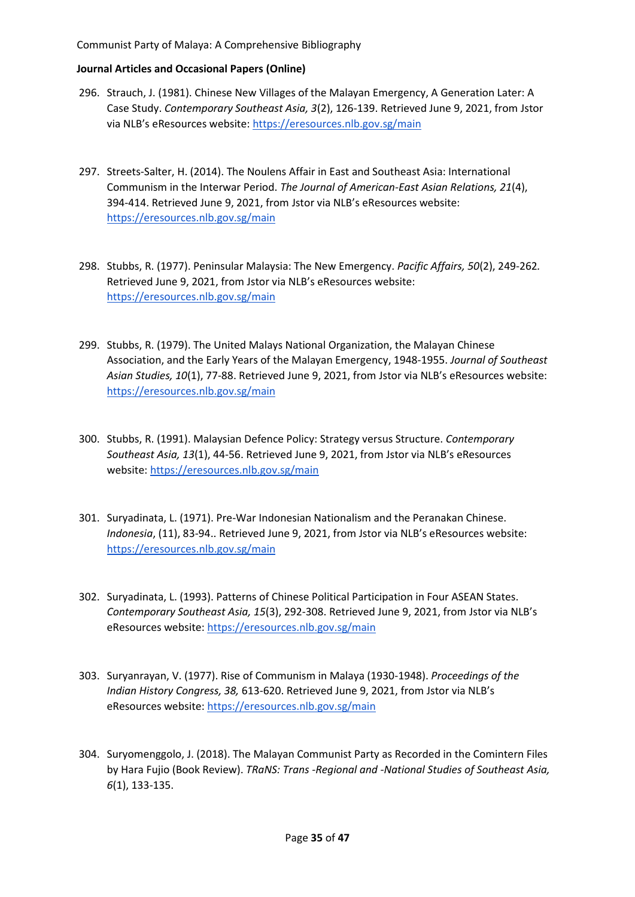- 296. Strauch, J. (1981). Chinese New Villages of the Malayan Emergency, A Generation Later: A Case Study. *Contemporary Southeast Asia, 3*(2), 126-139. Retrieved June 9, 2021, from Jstor via NLB's eResources website: <https://eresources.nlb.gov.sg/main>
- 297. Streets-Salter, H. (2014). The Noulens Affair in East and Southeast Asia: International Communism in the Interwar Period. *The Journal of American-East Asian Relations, 21*(4), 394-414. Retrieved June 9, 2021, from Jstor via NLB's eResources website: <https://eresources.nlb.gov.sg/main>
- 298. Stubbs, R. (1977). Peninsular Malaysia: The New Emergency. *Pacific Affairs, 50*(2), 249-262*.* Retrieved June 9, 2021, from Jstor via NLB's eResources website: <https://eresources.nlb.gov.sg/main>
- 299. Stubbs, R. (1979). The United Malays National Organization, the Malayan Chinese Association, and the Early Years of the Malayan Emergency, 1948-1955. *Journal of Southeast Asian Studies, 10*(1), 77-88. Retrieved June 9, 2021, from Jstor via NLB's eResources website: <https://eresources.nlb.gov.sg/main>
- 300. Stubbs, R. (1991). Malaysian Defence Policy: Strategy versus Structure. *Contemporary Southeast Asia, 13*(1), 44-56. Retrieved June 9, 2021, from Jstor via NLB's eResources website:<https://eresources.nlb.gov.sg/main>
- 301. Suryadinata, L. (1971). Pre-War Indonesian Nationalism and the Peranakan Chinese. *Indonesia*, (11), 83-94.. Retrieved June 9, 2021, from Jstor via NLB's eResources website: <https://eresources.nlb.gov.sg/main>
- 302. Suryadinata, L. (1993). Patterns of Chinese Political Participation in Four ASEAN States. *Contemporary Southeast Asia, 15*(3), 292-308. Retrieved June 9, 2021, from Jstor via NLB's eResources website:<https://eresources.nlb.gov.sg/main>
- 303. Suryanrayan, V. (1977). Rise of Communism in Malaya (1930-1948). *Proceedings of the Indian History Congress, 38,* 613-620. Retrieved June 9, 2021, from Jstor via NLB's eResources website:<https://eresources.nlb.gov.sg/main>
- 304. Suryomenggolo, J. (2018). The Malayan Communist Party as Recorded in the Comintern Files by Hara Fujio (Book Review). *TRaNS: Trans -Regional and -National Studies of Southeast Asia, 6*(1), 133-135.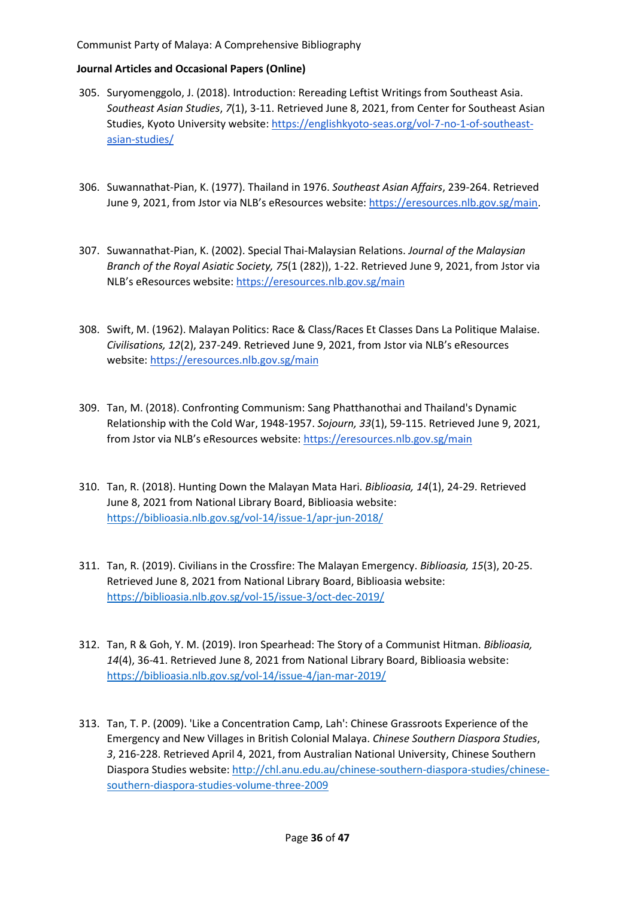- 305. Suryomenggolo, J. (2018). Introduction: Rereading Leftist Writings from Southeast Asia. *Southeast Asian Studies*, *7*(1), 3-11. Retrieved June 8, 2021, from Center for Southeast Asian Studies, Kyoto University website[: https://englishkyoto-seas.org/vol-7-no-1-of-southeast](https://englishkyoto-seas.org/vol-7-no-1-of-southeast-asian-studies/)[asian-studies/](https://englishkyoto-seas.org/vol-7-no-1-of-southeast-asian-studies/)
- 306. Suwannathat-Pian, K. (1977). Thailand in 1976. *Southeast Asian Affairs*, 239-264. Retrieved June 9, 2021, from Jstor via NLB's eResources website: [https://eresources.nlb.gov.sg/main.](https://eresources.nlb.gov.sg/main)
- 307. Suwannathat-Pian, K. (2002). Special Thai-Malaysian Relations. *Journal of the Malaysian Branch of the Royal Asiatic Society, 75*(1 (282)), 1-22. Retrieved June 9, 2021, from Jstor via NLB's eResources website: <https://eresources.nlb.gov.sg/main>
- 308. Swift, M. (1962). Malayan Politics: Race & Class/Races Et Classes Dans La Politique Malaise. *Civilisations, 12*(2), 237-249. Retrieved June 9, 2021, from Jstor via NLB's eResources website:<https://eresources.nlb.gov.sg/main>
- 309. Tan, M. (2018). Confronting Communism: Sang Phatthanothai and Thailand's Dynamic Relationship with the Cold War, 1948-1957. *Sojourn, 33*(1), 59-115. Retrieved June 9, 2021, from Jstor via NLB's eResources website: <https://eresources.nlb.gov.sg/main>
- 310. Tan, R. (2018). Hunting Down the Malayan Mata Hari. *Biblioasia, 14*(1), 24-29. Retrieved June 8, 2021 from National Library Board, Biblioasia website: <https://biblioasia.nlb.gov.sg/vol-14/issue-1/apr-jun-2018/>
- 311. Tan, R. (2019). Civilians in the Crossfire: The Malayan Emergency. *Biblioasia, 15*(3), 20-25. Retrieved June 8, 2021 from National Library Board, Biblioasia website: <https://biblioasia.nlb.gov.sg/vol-15/issue-3/oct-dec-2019/>
- 312. Tan, R & Goh, Y. M. (2019). Iron Spearhead: The Story of a Communist Hitman. *Biblioasia, 14*(4), 36-41. Retrieved June 8, 2021 from National Library Board, Biblioasia website: <https://biblioasia.nlb.gov.sg/vol-14/issue-4/jan-mar-2019/>
- 313. Tan, T. P. (2009). 'Like a Concentration Camp, Lah': Chinese Grassroots Experience of the Emergency and New Villages in British Colonial Malaya. *Chinese Southern Diaspora Studies*, *3*, 216-228. Retrieved April 4, 2021, from Australian National University, Chinese Southern Diaspora Studies website: [http://chl.anu.edu.au/chinese-southern-diaspora-studies/chinese](http://chl.anu.edu.au/chinese-southern-diaspora-studies/chinese-southern-diaspora-studies-volume-three-2009)[southern-diaspora-studies-volume-three-2009](http://chl.anu.edu.au/chinese-southern-diaspora-studies/chinese-southern-diaspora-studies-volume-three-2009)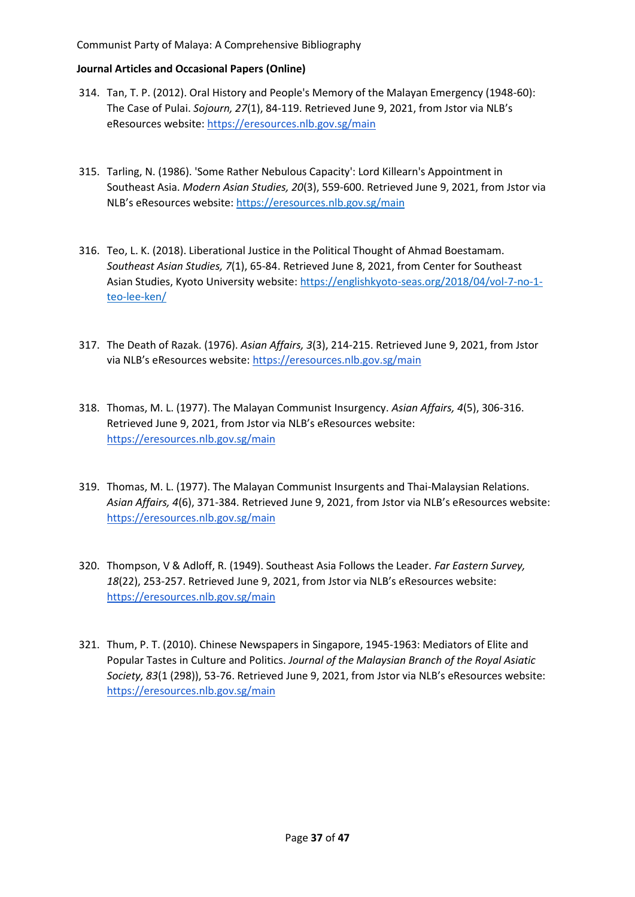- 314. Tan, T. P. (2012). Oral History and People's Memory of the Malayan Emergency (1948-60): The Case of Pulai. *Sojourn, 27*(1), 84-119. Retrieved June 9, 2021, from Jstor via NLB's eResources website:<https://eresources.nlb.gov.sg/main>
- 315. Tarling, N. (1986). 'Some Rather Nebulous Capacity': Lord Killearn's Appointment in Southeast Asia. *Modern Asian Studies, 20*(3), 559-600. Retrieved June 9, 2021, from Jstor via NLB's eResources website: <https://eresources.nlb.gov.sg/main>
- 316. Teo, L. K. (2018). Liberational Justice in the Political Thought of Ahmad Boestamam. *Southeast Asian Studies, 7*(1), 65-84. Retrieved June 8, 2021, from Center for Southeast Asian Studies, Kyoto University website: [https://englishkyoto-seas.org/2018/04/vol-7-no-1](https://englishkyoto-seas.org/2018/04/vol-7-no-1-teo-lee-ken/) [teo-lee-ken/](https://englishkyoto-seas.org/2018/04/vol-7-no-1-teo-lee-ken/)
- 317. The Death of Razak. (1976). *Asian Affairs, 3*(3), 214-215. Retrieved June 9, 2021, from Jstor via NLB's eResources website: <https://eresources.nlb.gov.sg/main>
- 318. Thomas, M. L. (1977). The Malayan Communist Insurgency. *Asian Affairs, 4*(5), 306-316. Retrieved June 9, 2021, from Jstor via NLB's eResources website: <https://eresources.nlb.gov.sg/main>
- 319. Thomas, M. L. (1977). The Malayan Communist Insurgents and Thai-Malaysian Relations. *Asian Affairs, 4*(6), 371-384. Retrieved June 9, 2021, from Jstor via NLB's eResources website: <https://eresources.nlb.gov.sg/main>
- 320. Thompson, V & Adloff, R. (1949). Southeast Asia Follows the Leader. *Far Eastern Survey, 18*(22), 253-257. Retrieved June 9, 2021, from Jstor via NLB's eResources website: <https://eresources.nlb.gov.sg/main>
- 321. Thum, P. T. (2010). Chinese Newspapers in Singapore, 1945-1963: Mediators of Elite and Popular Tastes in Culture and Politics. *Journal of the Malaysian Branch of the Royal Asiatic Society, 83*(1 (298)), 53-76. Retrieved June 9, 2021, from Jstor via NLB's eResources website: <https://eresources.nlb.gov.sg/main>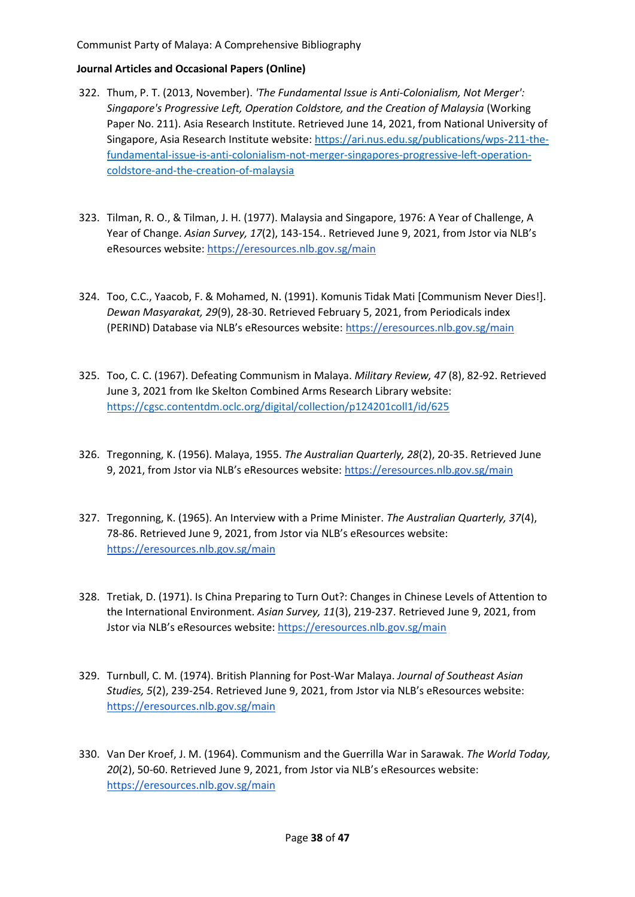- 322. Thum, P. T. (2013, November). *'The Fundamental Issue is Anti-Colonialism, Not Merger': Singapore's Progressive Left, Operation Coldstore, and the Creation of Malaysia* (Working Paper No. 211). Asia Research Institute. Retrieved June 14, 2021, from National University of Singapore, Asia Research Institute website: [https://ari.nus.edu.sg/publications/wps-211-the](https://ari.nus.edu.sg/publications/wps-211-the-fundamental-issue-is-anti-colonialism-not-merger-singapores-progressive-left-operation-coldstore-and-the-creation-of-malaysia)[fundamental-issue-is-anti-colonialism-not-merger-singapores-progressive-left-operation](https://ari.nus.edu.sg/publications/wps-211-the-fundamental-issue-is-anti-colonialism-not-merger-singapores-progressive-left-operation-coldstore-and-the-creation-of-malaysia)[coldstore-and-the-creation-of-malaysia](https://ari.nus.edu.sg/publications/wps-211-the-fundamental-issue-is-anti-colonialism-not-merger-singapores-progressive-left-operation-coldstore-and-the-creation-of-malaysia)
- 323. Tilman, R. O., & Tilman, J. H. (1977). Malaysia and Singapore, 1976: A Year of Challenge, A Year of Change. *Asian Survey, 17*(2), 143-154*.*. Retrieved June 9, 2021, from Jstor via NLB's eResources website:<https://eresources.nlb.gov.sg/main>
- 324. Too, C.C., Yaacob, F. & Mohamed, N. (1991). Komunis Tidak Mati [Communism Never Dies!]. *Dewan Masyarakat, 29*(9), 28-30. Retrieved February 5, 2021, from Periodicals index (PERIND) Database via NLB's eResources website: <https://eresources.nlb.gov.sg/main>
- 325. Too, C. C. (1967). Defeating Communism in Malaya. *Military Review, 47* (8), 82-92. Retrieved June 3, 2021 from Ike Skelton Combined Arms Research Library website: <https://cgsc.contentdm.oclc.org/digital/collection/p124201coll1/id/625>
- 326. Tregonning, K. (1956). Malaya, 1955. *The Australian Quarterly, 28*(2), 20-35. Retrieved June 9, 2021, from Jstor via NLB's eResources website: <https://eresources.nlb.gov.sg/main>
- 327. Tregonning, K. (1965). An Interview with a Prime Minister. *The Australian Quarterly, 37*(4), 78-86. Retrieved June 9, 2021, from Jstor via NLB's eResources website: <https://eresources.nlb.gov.sg/main>
- 328. Tretiak, D. (1971). Is China Preparing to Turn Out?: Changes in Chinese Levels of Attention to the International Environment. *Asian Survey, 11*(3), 219-237. Retrieved June 9, 2021, from Jstor via NLB's eResources website: <https://eresources.nlb.gov.sg/main>
- 329. Turnbull, C. M. (1974). British Planning for Post-War Malaya. *Journal of Southeast Asian Studies, 5*(2), 239-254. Retrieved June 9, 2021, from Jstor via NLB's eResources website: <https://eresources.nlb.gov.sg/main>
- 330. Van Der Kroef, J. M. (1964). Communism and the Guerrilla War in Sarawak. *The World Today, 20*(2), 50-60. Retrieved June 9, 2021, from Jstor via NLB's eResources website: <https://eresources.nlb.gov.sg/main>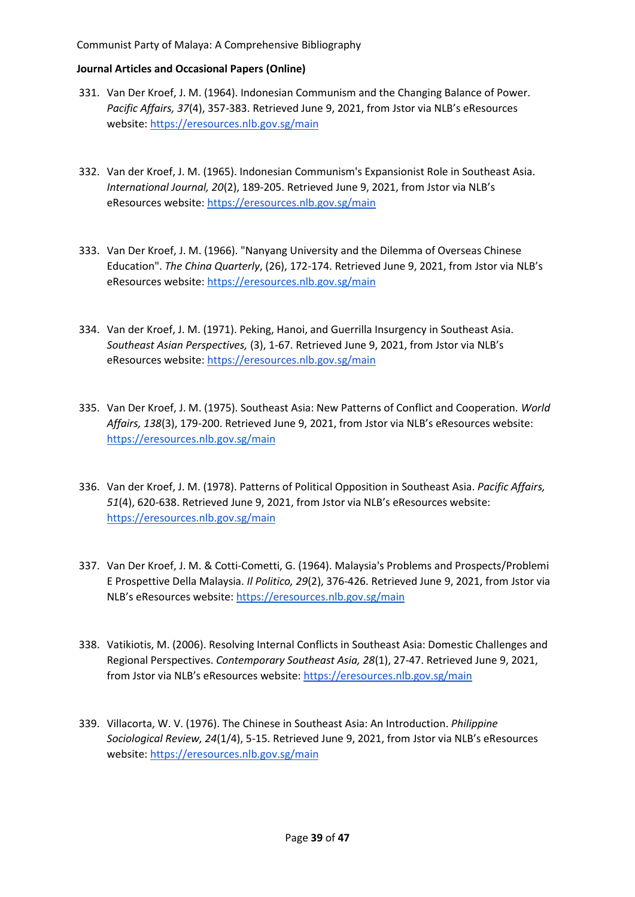- 331. Van Der Kroef, J. M. (1964). Indonesian Communism and the Changing Balance of Power. *Pacific Affairs, 37*(4), 357-383. Retrieved June 9, 2021, from Jstor via NLB's eResources website:<https://eresources.nlb.gov.sg/main>
- 332. Van der Kroef, J. M. (1965). Indonesian Communism's Expansionist Role in Southeast Asia. *International Journal, 20*(2), 189-205. Retrieved June 9, 2021, from Jstor via NLB's eResources website:<https://eresources.nlb.gov.sg/main>
- 333. Van Der Kroef, J. M. (1966). "Nanyang University and the Dilemma of Overseas Chinese Education". *The China Quarterly*, (26), 172-174. Retrieved June 9, 2021, from Jstor via NLB's eResources website:<https://eresources.nlb.gov.sg/main>
- 334. Van der Kroef, J. M. (1971). Peking, Hanoi, and Guerrilla Insurgency in Southeast Asia. *Southeast Asian Perspectives,* (3), 1-67. Retrieved June 9, 2021, from Jstor via NLB's eResources website:<https://eresources.nlb.gov.sg/main>
- 335. Van Der Kroef, J. M. (1975). Southeast Asia: New Patterns of Conflict and Cooperation. *World Affairs, 138*(3), 179-200. Retrieved June 9, 2021, from Jstor via NLB's eResources website: <https://eresources.nlb.gov.sg/main>
- 336. Van der Kroef, J. M. (1978). Patterns of Political Opposition in Southeast Asia. *Pacific Affairs, 51*(4), 620-638. Retrieved June 9, 2021, from Jstor via NLB's eResources website: <https://eresources.nlb.gov.sg/main>
- 337. Van Der Kroef, J. M. & Cotti-Cometti, G. (1964). Malaysia's Problems and Prospects/Problemi E Prospettive Della Malaysia. *Il Politico, 29*(2), 376-426. Retrieved June 9, 2021, from Jstor via NLB's eResources website: <https://eresources.nlb.gov.sg/main>
- 338. Vatikiotis, M. (2006). Resolving Internal Conflicts in Southeast Asia: Domestic Challenges and Regional Perspectives. *Contemporary Southeast Asia, 28*(1), 27-47. Retrieved June 9, 2021, from Jstor via NLB's eResources website: <https://eresources.nlb.gov.sg/main>
- 339. Villacorta, W. V. (1976). The Chinese in Southeast Asia: An Introduction. *Philippine Sociological Review, 24*(1/4), 5-15. Retrieved June 9, 2021, from Jstor via NLB's eResources website:<https://eresources.nlb.gov.sg/main>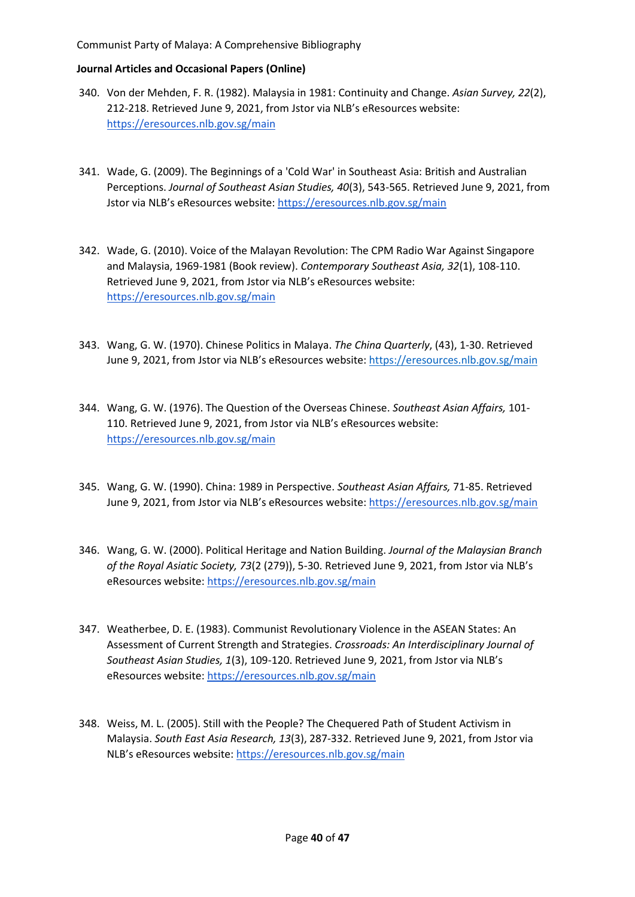- 340. Von der Mehden, F. R. (1982). Malaysia in 1981: Continuity and Change. *Asian Survey, 22*(2), 212-218. Retrieved June 9, 2021, from Jstor via NLB's eResources website: <https://eresources.nlb.gov.sg/main>
- 341. Wade, G. (2009). The Beginnings of a 'Cold War' in Southeast Asia: British and Australian Perceptions. *Journal of Southeast Asian Studies, 40*(3), 543-565. Retrieved June 9, 2021, from Jstor via NLB's eResources website: <https://eresources.nlb.gov.sg/main>
- 342. Wade, G. (2010). Voice of the Malayan Revolution: The CPM Radio War Against Singapore and Malaysia, 1969-1981 (Book review). *Contemporary Southeast Asia, 32*(1), 108-110. Retrieved June 9, 2021, from Jstor via NLB's eResources website: <https://eresources.nlb.gov.sg/main>
- 343. Wang, G. W. (1970). Chinese Politics in Malaya. *The China Quarterly*, (43), 1-30. Retrieved June 9, 2021, from Jstor via NLB's eResources website: <https://eresources.nlb.gov.sg/main>
- 344. Wang, G. W. (1976). The Question of the Overseas Chinese. *Southeast Asian Affairs,* 101- 110. Retrieved June 9, 2021, from Jstor via NLB's eResources website: <https://eresources.nlb.gov.sg/main>
- 345. Wang, G. W. (1990). China: 1989 in Perspective. *Southeast Asian Affairs,* 71-85. Retrieved June 9, 2021, from Jstor via NLB's eResources website:<https://eresources.nlb.gov.sg/main>
- 346. Wang, G. W. (2000). Political Heritage and Nation Building. *Journal of the Malaysian Branch of the Royal Asiatic Society, 73*(2 (279)), 5-30. Retrieved June 9, 2021, from Jstor via NLB's eResources website:<https://eresources.nlb.gov.sg/main>
- 347. Weatherbee, D. E. (1983). Communist Revolutionary Violence in the ASEAN States: An Assessment of Current Strength and Strategies. *Crossroads: An Interdisciplinary Journal of Southeast Asian Studies, 1*(3), 109-120. Retrieved June 9, 2021, from Jstor via NLB's eResources website:<https://eresources.nlb.gov.sg/main>
- 348. Weiss, M. L. (2005). Still with the People? The Chequered Path of Student Activism in Malaysia. *South East Asia Research, 13*(3), 287-332. Retrieved June 9, 2021, from Jstor via NLB's eResources website: <https://eresources.nlb.gov.sg/main>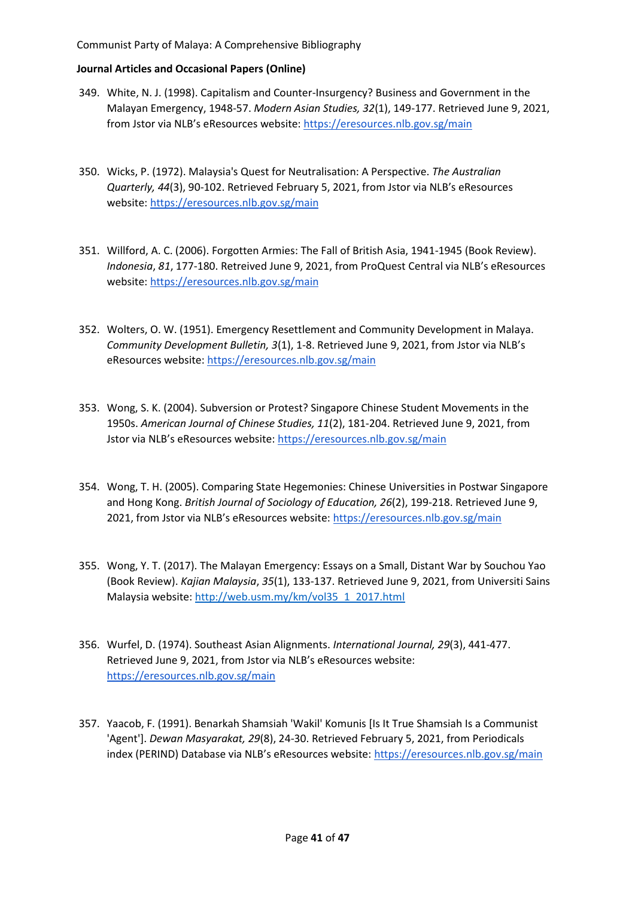- 349. White, N. J. (1998). Capitalism and Counter-Insurgency? Business and Government in the Malayan Emergency, 1948-57. *Modern Asian Studies, 32*(1), 149-177. Retrieved June 9, 2021, from Jstor via NLB's eResources website: <https://eresources.nlb.gov.sg/main>
- 350. Wicks, P. (1972). Malaysia's Quest for Neutralisation: A Perspective. *The Australian Quarterly, 44*(3), 90-102. Retrieved February 5, 2021, from Jstor via NLB's eResources website:<https://eresources.nlb.gov.sg/main>
- 351. Willford, A. C. (2006). Forgotten Armies: The Fall of British Asia, 1941-1945 (Book Review). *Indonesia*, *81*, 177-180. Retreived June 9, 2021, from ProQuest Central via NLB's eResources website:<https://eresources.nlb.gov.sg/main>
- 352. Wolters, O. W. (1951). Emergency Resettlement and Community Development in Malaya. *Community Development Bulletin, 3*(1), 1-8. Retrieved June 9, 2021, from Jstor via NLB's eResources website:<https://eresources.nlb.gov.sg/main>
- 353. Wong, S. K. (2004). Subversion or Protest? Singapore Chinese Student Movements in the 1950s. *American Journal of Chinese Studies, 11*(2), 181-204. Retrieved June 9, 2021, from Jstor via NLB's eResources website: <https://eresources.nlb.gov.sg/main>
- 354. Wong, T. H. (2005). Comparing State Hegemonies: Chinese Universities in Postwar Singapore and Hong Kong. *British Journal of Sociology of Education, 26*(2), 199-218. Retrieved June 9, 2021, from Jstor via NLB's eResources website: <https://eresources.nlb.gov.sg/main>
- 355. Wong, Y. T. (2017). The Malayan Emergency: Essays on a Small, Distant War by Souchou Yao (Book Review). *Kajian Malaysia*, *35*(1), 133-137. Retrieved June 9, 2021, from Universiti Sains Malaysia website: [http://web.usm.my/km/vol35\\_1\\_2017.html](http://web.usm.my/km/vol35_1_2017.html)
- 356. Wurfel, D. (1974). Southeast Asian Alignments. *International Journal, 29*(3), 441-477. Retrieved June 9, 2021, from Jstor via NLB's eResources website: <https://eresources.nlb.gov.sg/main>
- 357. Yaacob, F. (1991). Benarkah Shamsiah 'Wakil' Komunis [Is It True Shamsiah Is a Communist 'Agent']. *Dewan Masyarakat, 29*(8), 24-30. Retrieved February 5, 2021, from Periodicals index (PERIND) Database via NLB's eResources website: <https://eresources.nlb.gov.sg/main>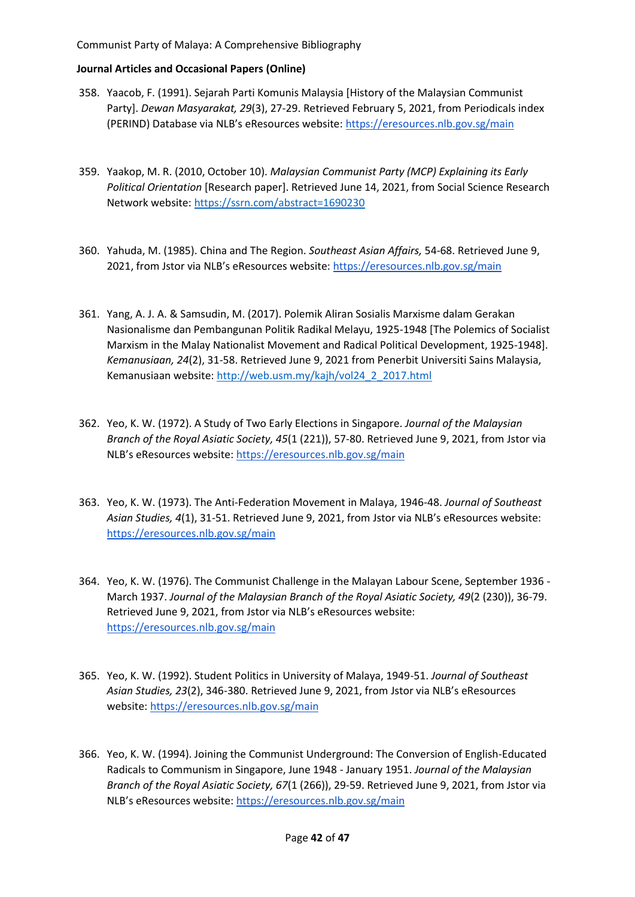- 358. Yaacob, F. (1991). Sejarah Parti Komunis Malaysia [History of the Malaysian Communist Party]. *Dewan Masyarakat, 29*(3), 27-29. Retrieved February 5, 2021, from Periodicals index (PERIND) Database via NLB's eResources website: <https://eresources.nlb.gov.sg/main>
- 359. Yaakop, M. R. (2010, October 10). *Malaysian Communist Party (MCP) Explaining its Early Political Orientation* [Research paper]. Retrieved June 14, 2021, from Social Science Research Network website:<https://ssrn.com/abstract=1690230>
- 360. Yahuda, M. (1985). China and The Region. *Southeast Asian Affairs,* 54-68. Retrieved June 9, 2021, from Jstor via NLB's eResources website: <https://eresources.nlb.gov.sg/main>
- 361. Yang, A. J. A. & Samsudin, M. (2017). Polemik Aliran Sosialis Marxisme dalam Gerakan Nasionalisme dan Pembangunan Politik Radikal Melayu, 1925-1948 [The Polemics of Socialist Marxism in the Malay Nationalist Movement and Radical Political Development, 1925-1948]. *Kemanusiaan, 24*(2), 31-58. Retrieved June 9, 2021 from Penerbit Universiti Sains Malaysia, Kemanusiaan website: [http://web.usm.my/kajh/vol24\\_2\\_2017.html](http://web.usm.my/kajh/vol24_2_2017.html)
- 362. Yeo, K. W. (1972). A Study of Two Early Elections in Singapore. *Journal of the Malaysian Branch of the Royal Asiatic Society, 45*(1 (221)), 57-80. Retrieved June 9, 2021, from Jstor via NLB's eResources website: <https://eresources.nlb.gov.sg/main>
- 363. Yeo, K. W. (1973). The Anti-Federation Movement in Malaya, 1946-48. *Journal of Southeast Asian Studies, 4*(1), 31-51. Retrieved June 9, 2021, from Jstor via NLB's eResources website: <https://eresources.nlb.gov.sg/main>
- 364. Yeo, K. W. (1976). The Communist Challenge in the Malayan Labour Scene, September 1936 March 1937. *Journal of the Malaysian Branch of the Royal Asiatic Society, 49*(2 (230)), 36-79. Retrieved June 9, 2021, from Jstor via NLB's eResources website: <https://eresources.nlb.gov.sg/main>
- 365. Yeo, K. W. (1992). Student Politics in University of Malaya, 1949-51. *Journal of Southeast Asian Studies, 23*(2), 346-380. Retrieved June 9, 2021, from Jstor via NLB's eResources website:<https://eresources.nlb.gov.sg/main>
- 366. Yeo, K. W. (1994). Joining the Communist Underground: The Conversion of English-Educated Radicals to Communism in Singapore, June 1948 - January 1951. *Journal of the Malaysian Branch of the Royal Asiatic Society, 67*(1 (266)), 29-59. Retrieved June 9, 2021, from Jstor via NLB's eResources website: <https://eresources.nlb.gov.sg/main>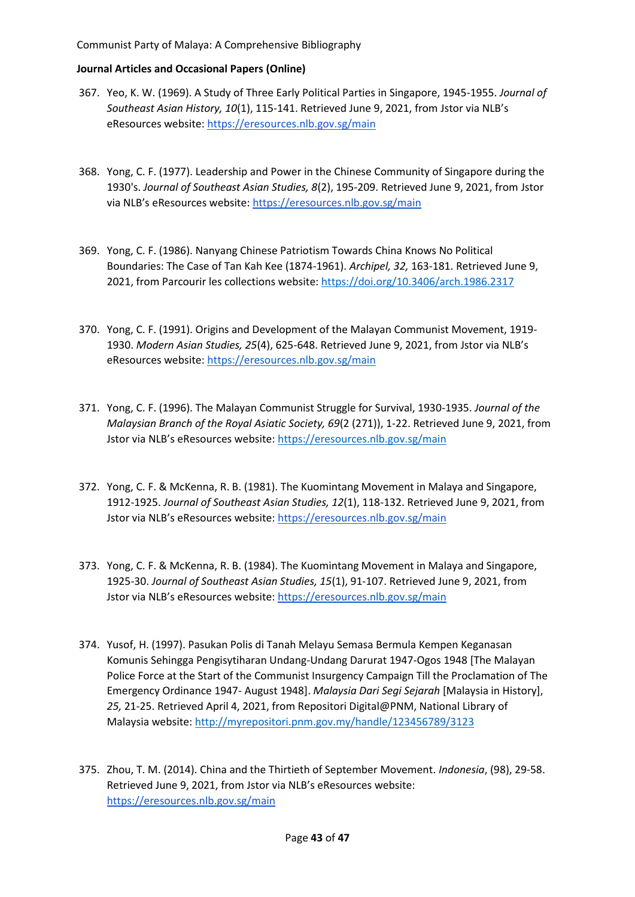- 367. Yeo, K. W. (1969). A Study of Three Early Political Parties in Singapore, 1945-1955. *Journal of Southeast Asian History, 10*(1), 115-141. Retrieved June 9, 2021, from Jstor via NLB's eResources website:<https://eresources.nlb.gov.sg/main>
- 368. Yong, C. F. (1977). Leadership and Power in the Chinese Community of Singapore during the 1930's. *Journal of Southeast Asian Studies, 8*(2), 195-209. Retrieved June 9, 2021, from Jstor via NLB's eResources website: <https://eresources.nlb.gov.sg/main>
- 369. Yong, C. F. (1986). Nanyang Chinese Patriotism Towards China Knows No Political Boundaries: The Case of Tan Kah Kee (1874-1961). *Archipel, 32,* 163-181. Retrieved June 9, 2021, from Parcourir les collections website:<https://doi.org/10.3406/arch.1986.2317>
- 370. Yong, C. F. (1991). Origins and Development of the Malayan Communist Movement, 1919- 1930. *Modern Asian Studies, 25*(4), 625-648. Retrieved June 9, 2021, from Jstor via NLB's eResources website: <https://eresources.nlb.gov.sg/main>
- 371. Yong, C. F. (1996). The Malayan Communist Struggle for Survival, 1930-1935. *Journal of the Malaysian Branch of the Royal Asiatic Society, 69*(2 (271)), 1-22. Retrieved June 9, 2021, from Jstor via NLB's eResources website: <https://eresources.nlb.gov.sg/main>
- 372. Yong, C. F. & McKenna, R. B. (1981). The Kuomintang Movement in Malaya and Singapore, 1912-1925. *Journal of Southeast Asian Studies, 12*(1), 118-132. Retrieved June 9, 2021, from Jstor via NLB's eResources website: <https://eresources.nlb.gov.sg/main>
- 373. Yong, C. F. & McKenna, R. B. (1984). The Kuomintang Movement in Malaya and Singapore, 1925-30. *Journal of Southeast Asian Studies, 15*(1), 91-107. Retrieved June 9, 2021, from Jstor via NLB's eResources website: <https://eresources.nlb.gov.sg/main>
- 374. Yusof, H. (1997). Pasukan Polis di Tanah Melayu Semasa Bermula Kempen Keganasan Komunis Sehingga Pengisytiharan Undang-Undang Darurat 1947-Ogos 1948 [The Malayan Police Force at the Start of the Communist Insurgency Campaign Till the Proclamation of The Emergency Ordinance 1947- August 1948]. *Malaysia Dari Segi Sejarah* [Malaysia in History], *25,* 21-25. Retrieved April 4, 2021, from Repositori Digital@PNM, National Library of Malaysia website: <http://myrepositori.pnm.gov.my/handle/123456789/3123>
- 375. Zhou, T. M. (2014). China and the Thirtieth of September Movement. *Indonesia*, (98), 29-58. Retrieved June 9, 2021, from Jstor via NLB's eResources website: <https://eresources.nlb.gov.sg/main>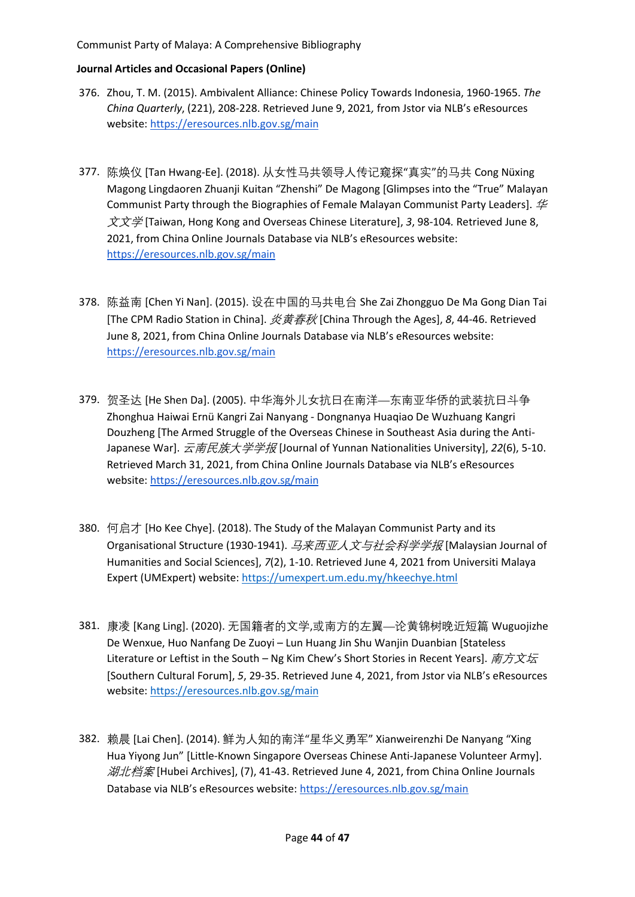- 376. Zhou, T. M. (2015). Ambivalent Alliance: Chinese Policy Towards Indonesia, 1960-1965. *The China Quarterly*, (221), 208-228. Retrieved June 9, 2021*,* from Jstor via NLB's eResources website:<https://eresources.nlb.gov.sg/main>
- 377. 陈焕仪 [Tan Hwang-Ee]. (2018). 从女性马共领导人传记窥探"真实"的马共 Cong Nüxing Magong Lingdaoren Zhuanji Kuitan "Zhenshi" De Magong [Glimpses into the "True" Malayan Communist Party through the Biographies of Female Malayan Communist Party Leaders].  $\#$ 文文学 [Taiwan, Hong Kong and Overseas Chinese Literature], *3*, 98-104*.* Retrieved June 8, 2021, from China Online Journals Database via NLB's eResources website: <https://eresources.nlb.gov.sg/main>
- 378. 陈益南 [Chen Yi Nan]. (2015). 设在中国的马共电台 She Zai Zhongguo De Ma Gong Dian Tai [The CPM Radio Station in China]. 炎黄春秋 [China Through the Ages], *8*, 44-46. Retrieved June 8, 2021, from China Online Journals Database via NLB's eResources website: <https://eresources.nlb.gov.sg/main>
- 379. 贺圣达 [He Shen Da]. (2005). 中华海外儿女抗日在南洋—东南亚华侨的武装抗日斗争 Zhonghua Haiwai Ernü Kangri Zai Nanyang - Dongnanya Huaqiao De Wuzhuang Kangri Douzheng [The Armed Struggle of the Overseas Chinese in Southeast Asia during the Anti-Japanese War]. 云南民族大学学报 [Journal of Yunnan Nationalities University], *22*(6), 5-10. Retrieved March 31, 2021, from China Online Journals Database via NLB's eResources website:<https://eresources.nlb.gov.sg/main>
- 380. 何启才 [Ho Kee Chye]. (2018). The Study of the Malayan Communist Party and its Organisational Structure (1930-1941). *马来西亚人文与社会科学学报* [Malaysian Journal of Humanities and Social Sciences], *7*(2), 1-10. Retrieved June 4, 2021 from Universiti Malaya Expert (UMExpert) website[: https://umexpert.um.edu.my/hkeechye.html](https://umexpert.um.edu.my/hkeechye.html)
- 381. 康凌 [Kang Ling]. (2020). 无国籍者的文学,或南方的左翼—论黄锦树晚近短篇 Wuguojizhe De Wenxue, Huo Nanfang De Zuoyi – Lun Huang Jin Shu Wanjin Duanbian [Stateless Literature or Leftist in the South – Ng Kim Chew's Short Stories in Recent Years]. 南方文坛 [Southern Cultural Forum], *5*, 29-35. Retrieved June 4, 2021, from Jstor via NLB's eResources website: <https://eresources.nlb.gov.sg/main>
- 382. 赖晨 [Lai Chen]. (2014). 鲜为人知的南洋"星华义勇军" Xianweirenzhi De Nanyang "Xing Hua Yiyong Jun" [Little-Known Singapore Overseas Chinese Anti-Japanese Volunteer Army]. 湖北档案 [Hubei Archives], (7), 41-43. Retrieved June 4, 2021, from China Online Journals Database via NLB's eResources website: <https://eresources.nlb.gov.sg/main>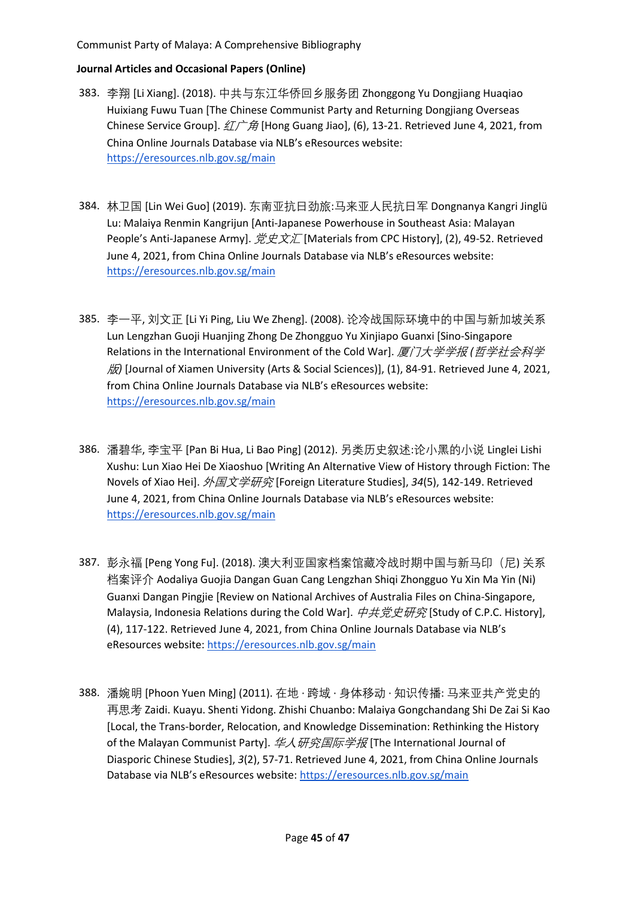- 383. 李翔 [Li Xiang]. (2018). 中共与东江华侨回乡服务团 Zhonggong Yu Dongjiang Huaqiao Huixiang Fuwu Tuan [The Chinese Communist Party and Returning Dongjiang Overseas Chinese Service Group].  $\angle \text{I} \rightarrow \text{R}$  [Hong Guang Jiao], (6), 13-21. Retrieved June 4, 2021, from China Online Journals Database via NLB's eResources website: <https://eresources.nlb.gov.sg/main>
- 384. 林卫国 [Lin Wei Guo] (2019). 东南亚抗日劲旅:马来亚人民抗日军 Dongnanya Kangri Jinglü Lu: Malaiya Renmin Kangrijun [Anti-Japanese Powerhouse in Southeast Asia: Malayan People's Anti-Japanese Army].  $\sharp \sharp \sharp \sharp \sharp \sharp \mathbb{Z}$  [Materials from CPC History], (2), 49-52. Retrieved June 4, 2021, from China Online Journals Database via NLB's eResources website: <https://eresources.nlb.gov.sg/main>
- 385. 李一平, 刘文正 [Li Yi Ping, Liu We Zheng]. (2008). 论冷战国际环境中的中国与新加坡关系 Lun Lengzhan Guoji Huanjing Zhong De Zhongguo Yu Xinjiapo Guanxi [Sino-Singapore Relations in the International Environment of the Cold War]. 厦门大学学报 *(*哲学社会科学 版*)* [Journal of Xiamen University (Arts & Social Sciences)], (1), 84-91. Retrieved June 4, 2021, from China Online Journals Database via NLB's eResources website: <https://eresources.nlb.gov.sg/main>
- 386. 潘碧华, 李宝平 [Pan Bi Hua, Li Bao Ping] (2012). 另类历史叙述:论小黑的小说 Linglei Lishi Xushu: Lun Xiao Hei De Xiaoshuo [Writing An Alternative View of History through Fiction: The Novels of Xiao Hei]. 外国文学研究 [Foreign Literature Studies], *34*(5), 142-149. Retrieved June 4, 2021, from China Online Journals Database via NLB's eResources website: <https://eresources.nlb.gov.sg/main>
- 387. 彭永福 [Peng Yong Fu]. (2018). 澳大利亚国家档案馆藏冷战时期中国与新马印(尼) 关系 档案评介 Aodaliya Guojia Dangan Guan Cang Lengzhan Shiqi Zhongguo Yu Xin Ma Yin (Ni) Guanxi Dangan Pingjie [Review on National Archives of Australia Files on China-Singapore, Malaysia, Indonesia Relations during the Cold War].  $\ddot{\varphi} \neq \ddot{\varphi} \not\varphi \vec{m}$  Study of C.P.C. History], (4), 117-122. Retrieved June 4, 2021, from China Online Journals Database via NLB's eResources website:<https://eresources.nlb.gov.sg/main>
- 388. 潘婉明 [Phoon Yuen Ming] (2011). 在地 ∙ 跨域 ∙ 身体移动 ∙ 知识传播: 马来亚共产党史的 再思考 Zaidi. Kuayu. Shenti Yidong. Zhishi Chuanbo: Malaiya Gongchandang Shi De Zai Si Kao [Local, the Trans-border, Relocation, and Knowledge Dissemination: Rethinking the History of the Malayan Communist Party].  $\sharp\mathcal{A}$  研究国际学报 [The International Journal of Diasporic Chinese Studies], *3*(2), 57-71. Retrieved June 4, 2021, from China Online Journals Database via NLB's eResources website: <https://eresources.nlb.gov.sg/main>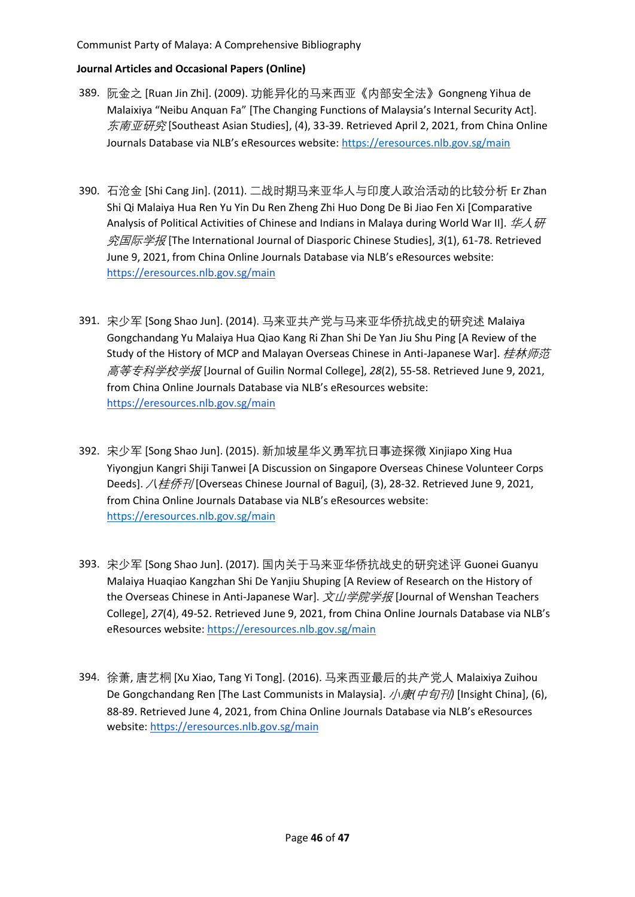- 389. 阮金之 [Ruan Jin Zhi]. (2009). 功能异化的马来西亚《内部安全法》Gongneng Yihua de Malaixiya "Neibu Anquan Fa" [The Changing Functions of Malaysia's Internal Security Act]. 东南亚研究 [Southeast Asian Studies], (4), 33-39. Retrieved April 2, 2021, from China Online Journals Database via NLB's eResources website: <https://eresources.nlb.gov.sg/main>
- 390. 石沧金 [Shi Cang Jin]. (2011). 二战时期马来亚华人与印度人政治活动的比较分析 Er Zhan Shi Qi Malaiya Hua Ren Yu Yin Du Ren Zheng Zhi Huo Dong De Bi Jiao Fen Xi [Comparative Analysis of Political Activities of Chinese and Indians in Malaya during World War II].  $\sharp\sharp\mathcal{A}$   $\sharp\sharp\sharp$ 究国际学报 [The International Journal of Diasporic Chinese Studies], *3*(1), 61-78. Retrieved June 9, 2021, from China Online Journals Database via NLB's eResources website: <https://eresources.nlb.gov.sg/main>
- 391. 宋少军 [Song Shao Jun]. (2014). 马来亚共产党与马来亚华侨抗战史的研究述 Malaiya Gongchandang Yu Malaiya Hua Qiao Kang Ri Zhan Shi De Yan Jiu Shu Ping [A Review of the Study of the History of MCP and Malayan Overseas Chinese in Anti-Japanese War]. *桂林师范* 高等专科学校学报 [Journal of Guilin Normal College], *28*(2), 55-58. Retrieved June 9, 2021, from China Online Journals Database via NLB's eResources website: <https://eresources.nlb.gov.sg/main>
- 392. 宋少军 [Song Shao Jun]. (2015). 新加坡星华义勇军抗日事迹探微 Xinjiapo Xing Hua Yiyongjun Kangri Shiji Tanwei [A Discussion on Singapore Overseas Chinese Volunteer Corps Deeds].  $\sqrt{\frac{t}{m}}$  [Overseas Chinese Journal of Bagui], (3), 28-32. Retrieved June 9, 2021, from China Online Journals Database via NLB's eResources website: <https://eresources.nlb.gov.sg/main>
- 393. 宋少军 [Song Shao Jun]. (2017). 国内关于马来亚华侨抗战史的研究述评 Guonei Guanyu Malaiya Huaqiao Kangzhan Shi De Yanjiu Shuping [A Review of Research on the History of the Overseas Chinese in Anti-Japanese War]. 文山学院学报 [Journal of Wenshan Teachers College], *27*(4), 49-52. Retrieved June 9, 2021, from China Online Journals Database via NLB's eResources website: <https://eresources.nlb.gov.sg/main>
- 394. 徐萧, 唐艺桐 [Xu Xiao, Tang Yi Tong]. (2016). 马来西亚最后的共产党人 Malaixiya Zuihou De Gongchandang Ren [The Last Communists in Malaysia]. 小康*(*中旬刊*)* [Insight China], (6), 88-89. Retrieved June 4, 2021, from China Online Journals Database via NLB's eResources website:<https://eresources.nlb.gov.sg/main>